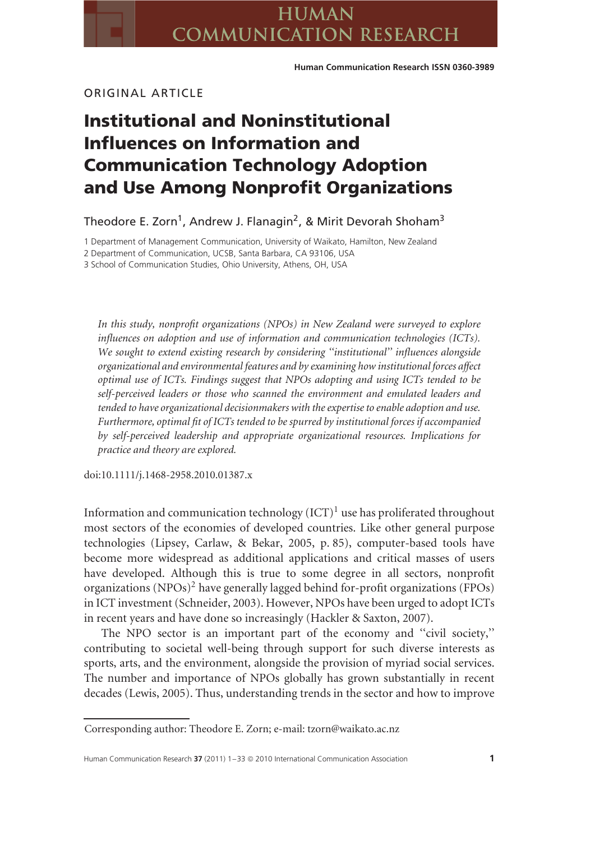# ORIGINAL ARTICLE

# **Institutional and Noninstitutional Influences on Information and Communication Technology Adoption and Use Among Nonprofit Organizations**

Theodore E. Zorn<sup>1</sup>, Andrew J. Flanagin<sup>2</sup>, & Mirit Devorah Shoham<sup>3</sup>

1 Department of Management Communication, University of Waikato, Hamilton, New Zealand

2 Department of Communication, UCSB, Santa Barbara, CA 93106, USA

3 School of Communication Studies, Ohio University, Athens, OH, USA

*In this study, nonprofit organizations (NPOs) in New Zealand were surveyed to explore influences on adoption and use of information and communication technologies (ICTs). We sought to extend existing research by considering ''institutional'' influences alongside organizational and environmental features and by examining how institutional forces affect optimal use of ICTs. Findings suggest that NPOs adopting and using ICTs tended to be self-perceived leaders or those who scanned the environment and emulated leaders and tended to have organizational decisionmakers with the expertise to enable adoption and use. Furthermore, optimal fit of ICTs tended to be spurred by institutional forces if accompanied by self-perceived leadership and appropriate organizational resources. Implications for practice and theory are explored.*

doi:10.1111/j.1468-2958.2010.01387.x

Information and communication technology  $(ICT)^1$  use has proliferated throughout most sectors of the economies of developed countries. Like other general purpose technologies (Lipsey, Carlaw, & Bekar, 2005, p. 85), computer-based tools have become more widespread as additional applications and critical masses of users have developed. Although this is true to some degree in all sectors, nonprofit organizations  $(NPOS)^2$  have generally lagged behind for-profit organizations (FPOs) in ICT investment (Schneider, 2003). However, NPOs have been urged to adopt ICTs in recent years and have done so increasingly (Hackler & Saxton, 2007).

The NPO sector is an important part of the economy and ''civil society,'' contributing to societal well-being through support for such diverse interests as sports, arts, and the environment, alongside the provision of myriad social services. The number and importance of NPOs globally has grown substantially in recent decades (Lewis, 2005). Thus, understanding trends in the sector and how to improve

Corresponding author: Theodore E. Zorn; e-mail: tzorn@waikato.ac.nz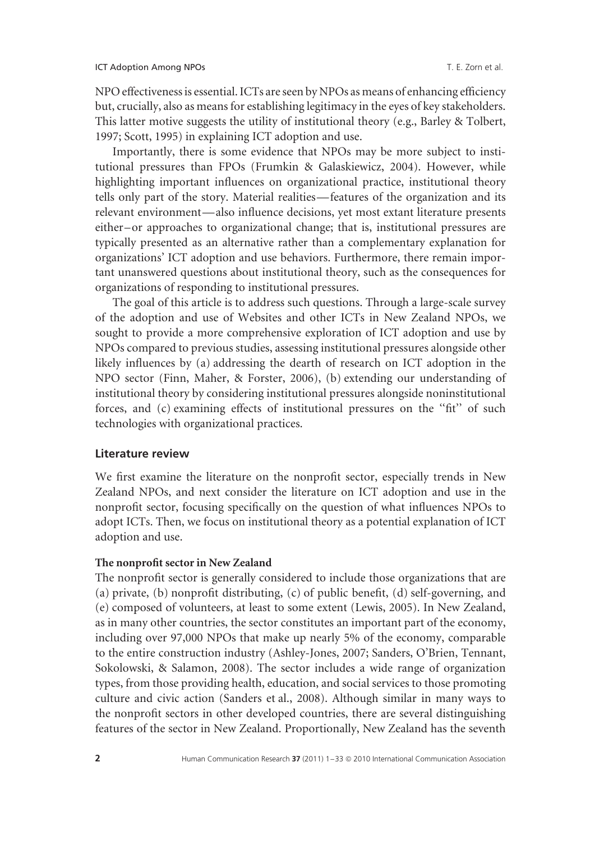NPO effectiveness is essential. ICTs are seen by NPOs as means of enhancing efficiency but, crucially, also as means for establishing legitimacy in the eyes of key stakeholders. This latter motive suggests the utility of institutional theory (e.g., Barley & Tolbert, 1997; Scott, 1995) in explaining ICT adoption and use.

Importantly, there is some evidence that NPOs may be more subject to institutional pressures than FPOs (Frumkin & Galaskiewicz, 2004). However, while highlighting important influences on organizational practice, institutional theory tells only part of the story. Material realities—features of the organization and its relevant environment—also influence decisions, yet most extant literature presents either–or approaches to organizational change; that is, institutional pressures are typically presented as an alternative rather than a complementary explanation for organizations' ICT adoption and use behaviors. Furthermore, there remain important unanswered questions about institutional theory, such as the consequences for organizations of responding to institutional pressures.

The goal of this article is to address such questions. Through a large-scale survey of the adoption and use of Websites and other ICTs in New Zealand NPOs, we sought to provide a more comprehensive exploration of ICT adoption and use by NPOs compared to previous studies, assessing institutional pressures alongside other likely influences by (a) addressing the dearth of research on ICT adoption in the NPO sector (Finn, Maher, & Forster, 2006), (b) extending our understanding of institutional theory by considering institutional pressures alongside noninstitutional forces, and (c) examining effects of institutional pressures on the ''fit'' of such technologies with organizational practices.

#### **Literature review**

We first examine the literature on the nonprofit sector, especially trends in New Zealand NPOs, and next consider the literature on ICT adoption and use in the nonprofit sector, focusing specifically on the question of what influences NPOs to adopt ICTs. Then, we focus on institutional theory as a potential explanation of ICT adoption and use.

## **The nonprofit sector in New Zealand**

The nonprofit sector is generally considered to include those organizations that are (a) private, (b) nonprofit distributing, (c) of public benefit, (d) self-governing, and (e) composed of volunteers, at least to some extent (Lewis, 2005). In New Zealand, as in many other countries, the sector constitutes an important part of the economy, including over 97,000 NPOs that make up nearly 5% of the economy, comparable to the entire construction industry (Ashley-Jones, 2007; Sanders, O'Brien, Tennant, Sokolowski, & Salamon, 2008). The sector includes a wide range of organization types, from those providing health, education, and social services to those promoting culture and civic action (Sanders et al., 2008). Although similar in many ways to the nonprofit sectors in other developed countries, there are several distinguishing features of the sector in New Zealand. Proportionally, New Zealand has the seventh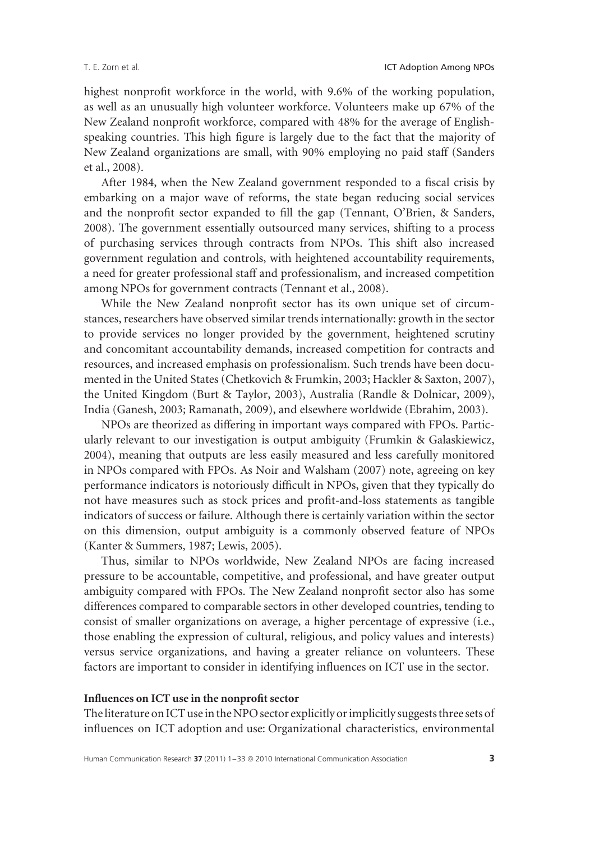highest nonprofit workforce in the world, with 9.6% of the working population, as well as an unusually high volunteer workforce. Volunteers make up 67% of the New Zealand nonprofit workforce, compared with 48% for the average of Englishspeaking countries. This high figure is largely due to the fact that the majority of New Zealand organizations are small, with 90% employing no paid staff (Sanders et al., 2008).

After 1984, when the New Zealand government responded to a fiscal crisis by embarking on a major wave of reforms, the state began reducing social services and the nonprofit sector expanded to fill the gap (Tennant, O'Brien, & Sanders, 2008). The government essentially outsourced many services, shifting to a process of purchasing services through contracts from NPOs. This shift also increased government regulation and controls, with heightened accountability requirements, a need for greater professional staff and professionalism, and increased competition among NPOs for government contracts (Tennant et al., 2008).

While the New Zealand nonprofit sector has its own unique set of circumstances, researchers have observed similar trends internationally: growth in the sector to provide services no longer provided by the government, heightened scrutiny and concomitant accountability demands, increased competition for contracts and resources, and increased emphasis on professionalism. Such trends have been documented in the United States (Chetkovich & Frumkin, 2003; Hackler & Saxton, 2007), the United Kingdom (Burt & Taylor, 2003), Australia (Randle & Dolnicar, 2009), India (Ganesh, 2003; Ramanath, 2009), and elsewhere worldwide (Ebrahim, 2003).

NPOs are theorized as differing in important ways compared with FPOs. Particularly relevant to our investigation is output ambiguity (Frumkin & Galaskiewicz, 2004), meaning that outputs are less easily measured and less carefully monitored in NPOs compared with FPOs. As Noir and Walsham (2007) note, agreeing on key performance indicators is notoriously difficult in NPOs, given that they typically do not have measures such as stock prices and profit-and-loss statements as tangible indicators of success or failure. Although there is certainly variation within the sector on this dimension, output ambiguity is a commonly observed feature of NPOs (Kanter & Summers, 1987; Lewis, 2005).

Thus, similar to NPOs worldwide, New Zealand NPOs are facing increased pressure to be accountable, competitive, and professional, and have greater output ambiguity compared with FPOs. The New Zealand nonprofit sector also has some differences compared to comparable sectors in other developed countries, tending to consist of smaller organizations on average, a higher percentage of expressive (i.e., those enabling the expression of cultural, religious, and policy values and interests) versus service organizations, and having a greater reliance on volunteers. These factors are important to consider in identifying influences on ICT use in the sector.

#### **Influences on ICT use in the nonprofit sector**

The literature on ICT use in the NPO sector explicitly or implicitly suggests three sets of influences on ICT adoption and use: Organizational characteristics, environmental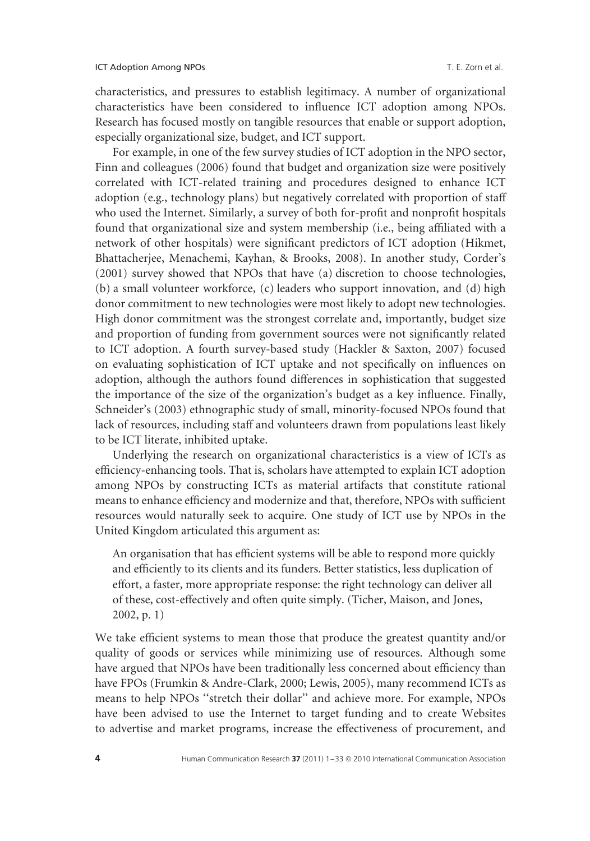characteristics, and pressures to establish legitimacy. A number of organizational characteristics have been considered to influence ICT adoption among NPOs. Research has focused mostly on tangible resources that enable or support adoption, especially organizational size, budget, and ICT support.

For example, in one of the few survey studies of ICT adoption in the NPO sector, Finn and colleagues (2006) found that budget and organization size were positively correlated with ICT-related training and procedures designed to enhance ICT adoption (e.g., technology plans) but negatively correlated with proportion of staff who used the Internet. Similarly, a survey of both for-profit and nonprofit hospitals found that organizational size and system membership (i.e., being affiliated with a network of other hospitals) were significant predictors of ICT adoption (Hikmet, Bhattacherjee, Menachemi, Kayhan, & Brooks, 2008). In another study, Corder's (2001) survey showed that NPOs that have (a) discretion to choose technologies, (b) a small volunteer workforce, (c) leaders who support innovation, and (d) high donor commitment to new technologies were most likely to adopt new technologies. High donor commitment was the strongest correlate and, importantly, budget size and proportion of funding from government sources were not significantly related to ICT adoption. A fourth survey-based study (Hackler & Saxton, 2007) focused on evaluating sophistication of ICT uptake and not specifically on influences on adoption, although the authors found differences in sophistication that suggested the importance of the size of the organization's budget as a key influence. Finally, Schneider's (2003) ethnographic study of small, minority-focused NPOs found that lack of resources, including staff and volunteers drawn from populations least likely to be ICT literate, inhibited uptake.

Underlying the research on organizational characteristics is a view of ICTs as efficiency-enhancing tools. That is, scholars have attempted to explain ICT adoption among NPOs by constructing ICTs as material artifacts that constitute rational means to enhance efficiency and modernize and that, therefore, NPOs with sufficient resources would naturally seek to acquire. One study of ICT use by NPOs in the United Kingdom articulated this argument as:

An organisation that has efficient systems will be able to respond more quickly and efficiently to its clients and its funders. Better statistics, less duplication of effort, a faster, more appropriate response: the right technology can deliver all of these, cost-effectively and often quite simply. (Ticher, Maison, and Jones, 2002, p. 1)

We take efficient systems to mean those that produce the greatest quantity and/or quality of goods or services while minimizing use of resources. Although some have argued that NPOs have been traditionally less concerned about efficiency than have FPOs (Frumkin & Andre-Clark, 2000; Lewis, 2005), many recommend ICTs as means to help NPOs ''stretch their dollar'' and achieve more. For example, NPOs have been advised to use the Internet to target funding and to create Websites to advertise and market programs, increase the effectiveness of procurement, and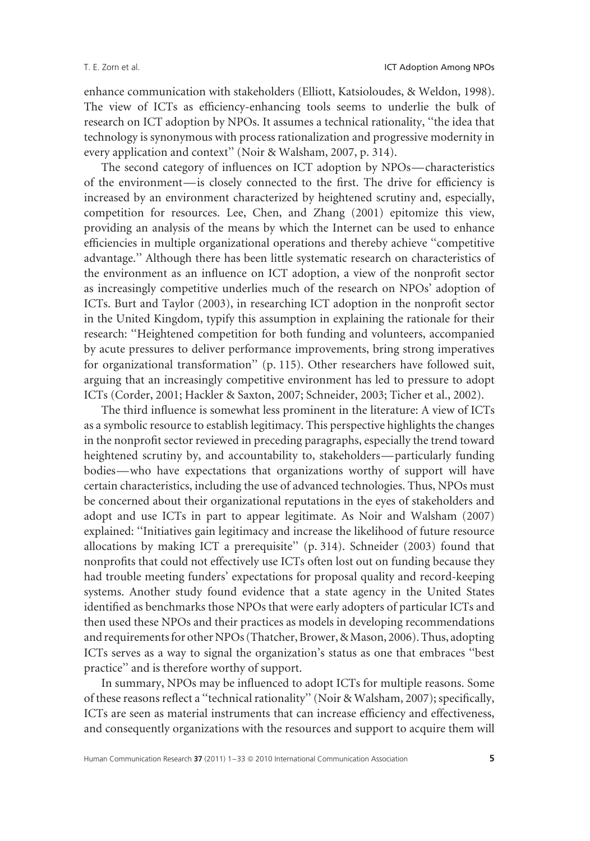enhance communication with stakeholders (Elliott, Katsioloudes, & Weldon, 1998). The view of ICTs as efficiency-enhancing tools seems to underlie the bulk of research on ICT adoption by NPOs. It assumes a technical rationality, ''the idea that technology is synonymous with process rationalization and progressive modernity in every application and context'' (Noir & Walsham, 2007, p. 314).

The second category of influences on ICT adoption by NPOs—characteristics of the environment—is closely connected to the first. The drive for efficiency is increased by an environment characterized by heightened scrutiny and, especially, competition for resources. Lee, Chen, and Zhang (2001) epitomize this view, providing an analysis of the means by which the Internet can be used to enhance efficiencies in multiple organizational operations and thereby achieve ''competitive advantage.'' Although there has been little systematic research on characteristics of the environment as an influence on ICT adoption, a view of the nonprofit sector as increasingly competitive underlies much of the research on NPOs' adoption of ICTs. Burt and Taylor (2003), in researching ICT adoption in the nonprofit sector in the United Kingdom, typify this assumption in explaining the rationale for their research: ''Heightened competition for both funding and volunteers, accompanied by acute pressures to deliver performance improvements, bring strong imperatives for organizational transformation'' (p. 115). Other researchers have followed suit, arguing that an increasingly competitive environment has led to pressure to adopt ICTs (Corder, 2001; Hackler & Saxton, 2007; Schneider, 2003; Ticher et al., 2002).

The third influence is somewhat less prominent in the literature: A view of ICTs as a symbolic resource to establish legitimacy. This perspective highlights the changes in the nonprofit sector reviewed in preceding paragraphs, especially the trend toward heightened scrutiny by, and accountability to, stakeholders—particularly funding bodies—who have expectations that organizations worthy of support will have certain characteristics, including the use of advanced technologies. Thus, NPOs must be concerned about their organizational reputations in the eyes of stakeholders and adopt and use ICTs in part to appear legitimate. As Noir and Walsham (2007) explained: ''Initiatives gain legitimacy and increase the likelihood of future resource allocations by making ICT a prerequisite'' (p. 314). Schneider (2003) found that nonprofits that could not effectively use ICTs often lost out on funding because they had trouble meeting funders' expectations for proposal quality and record-keeping systems. Another study found evidence that a state agency in the United States identified as benchmarks those NPOs that were early adopters of particular ICTs and then used these NPOs and their practices as models in developing recommendations and requirements for other NPOs (Thatcher, Brower, & Mason, 2006). Thus, adopting ICTs serves as a way to signal the organization's status as one that embraces ''best practice'' and is therefore worthy of support.

In summary, NPOs may be influenced to adopt ICTs for multiple reasons. Some of these reasons reflect a ''technical rationality'' (Noir & Walsham, 2007); specifically, ICTs are seen as material instruments that can increase efficiency and effectiveness, and consequently organizations with the resources and support to acquire them will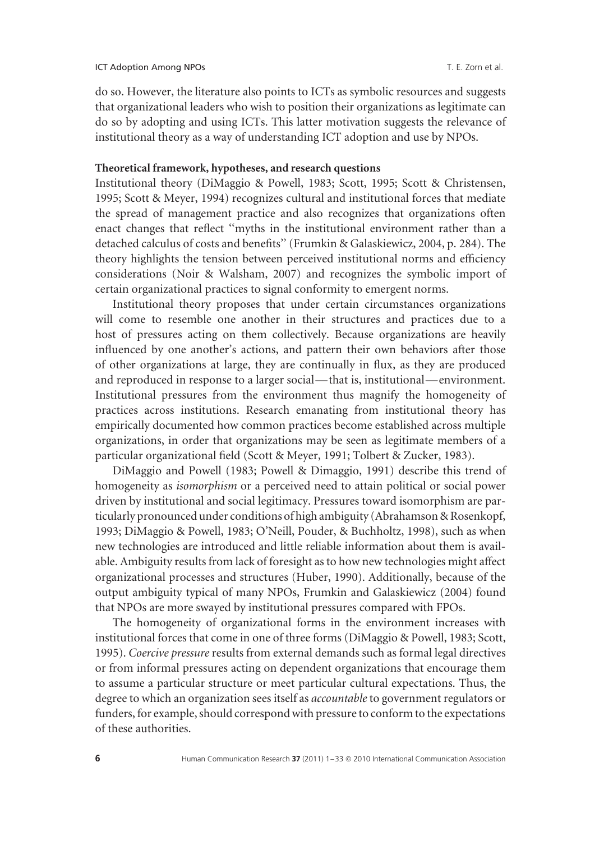#### ICT Adoption Among NPOs **T. E.** Zorn et al.

do so. However, the literature also points to ICTs as symbolic resources and suggests that organizational leaders who wish to position their organizations as legitimate can do so by adopting and using ICTs. This latter motivation suggests the relevance of institutional theory as a way of understanding ICT adoption and use by NPOs.

#### **Theoretical framework, hypotheses, and research questions**

Institutional theory (DiMaggio & Powell, 1983; Scott, 1995; Scott & Christensen, 1995; Scott & Meyer, 1994) recognizes cultural and institutional forces that mediate the spread of management practice and also recognizes that organizations often enact changes that reflect ''myths in the institutional environment rather than a detached calculus of costs and benefits'' (Frumkin & Galaskiewicz, 2004, p. 284). The theory highlights the tension between perceived institutional norms and efficiency considerations (Noir & Walsham, 2007) and recognizes the symbolic import of certain organizational practices to signal conformity to emergent norms.

Institutional theory proposes that under certain circumstances organizations will come to resemble one another in their structures and practices due to a host of pressures acting on them collectively. Because organizations are heavily influenced by one another's actions, and pattern their own behaviors after those of other organizations at large, they are continually in flux, as they are produced and reproduced in response to a larger social— that is, institutional—environment. Institutional pressures from the environment thus magnify the homogeneity of practices across institutions. Research emanating from institutional theory has empirically documented how common practices become established across multiple organizations, in order that organizations may be seen as legitimate members of a particular organizational field (Scott & Meyer, 1991; Tolbert & Zucker, 1983).

DiMaggio and Powell (1983; Powell & Dimaggio, 1991) describe this trend of homogeneity as *isomorphism* or a perceived need to attain political or social power driven by institutional and social legitimacy. Pressures toward isomorphism are particularly pronounced under conditions of high ambiguity (Abrahamson & Rosenkopf, 1993; DiMaggio & Powell, 1983; O'Neill, Pouder, & Buchholtz, 1998), such as when new technologies are introduced and little reliable information about them is available. Ambiguity results from lack of foresight as to how new technologies might affect organizational processes and structures (Huber, 1990). Additionally, because of the output ambiguity typical of many NPOs, Frumkin and Galaskiewicz (2004) found that NPOs are more swayed by institutional pressures compared with FPOs.

The homogeneity of organizational forms in the environment increases with institutional forces that come in one of three forms (DiMaggio & Powell, 1983; Scott, 1995). *Coercive pressure* results from external demands such as formal legal directives or from informal pressures acting on dependent organizations that encourage them to assume a particular structure or meet particular cultural expectations. Thus, the degree to which an organization sees itself as *accountable*to government regulators or funders, for example, should correspond with pressure to conform to the expectations of these authorities.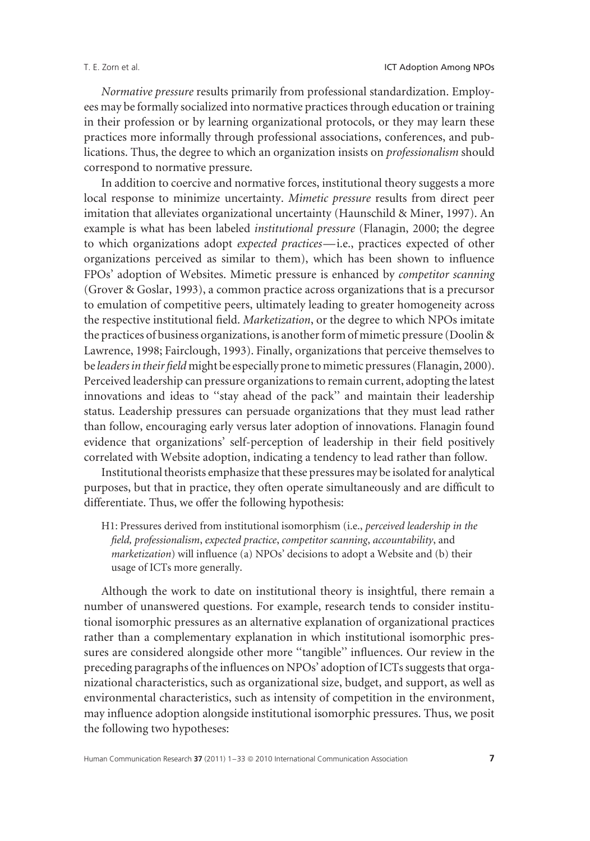*Normative pressure* results primarily from professional standardization. Employees may be formally socialized into normative practices through education or training in their profession or by learning organizational protocols, or they may learn these practices more informally through professional associations, conferences, and publications. Thus, the degree to which an organization insists on *professionalism* should correspond to normative pressure.

In addition to coercive and normative forces, institutional theory suggests a more local response to minimize uncertainty. *Mimetic pressure* results from direct peer imitation that alleviates organizational uncertainty (Haunschild & Miner, 1997). An example is what has been labeled *institutional pressure* (Flanagin, 2000; the degree to which organizations adopt *expected practices*—i.e., practices expected of other organizations perceived as similar to them), which has been shown to influence FPOs' adoption of Websites. Mimetic pressure is enhanced by *competitor scanning* (Grover & Goslar, 1993), a common practice across organizations that is a precursor to emulation of competitive peers, ultimately leading to greater homogeneity across the respective institutional field. *Marketization*, or the degree to which NPOs imitate the practices of business organizations, is another form of mimetic pressure (Doolin & Lawrence, 1998; Fairclough, 1993). Finally, organizations that perceive themselves to be *leaders in their field* might be especially prone to mimetic pressures (Flanagin, 2000). Perceived leadership can pressure organizations to remain current, adopting the latest innovations and ideas to ''stay ahead of the pack'' and maintain their leadership status. Leadership pressures can persuade organizations that they must lead rather than follow, encouraging early versus later adoption of innovations. Flanagin found evidence that organizations' self-perception of leadership in their field positively correlated with Website adoption, indicating a tendency to lead rather than follow.

Institutional theorists emphasize that these pressures may be isolated for analytical purposes, but that in practice, they often operate simultaneously and are difficult to differentiate. Thus, we offer the following hypothesis:

H1: Pressures derived from institutional isomorphism (i.e., *perceived leadership in the field, professionalism*, *expected practice*, *competitor scanning*, *accountability*, and *marketization*) will influence (a) NPOs' decisions to adopt a Website and (b) their usage of ICTs more generally.

Although the work to date on institutional theory is insightful, there remain a number of unanswered questions. For example, research tends to consider institutional isomorphic pressures as an alternative explanation of organizational practices rather than a complementary explanation in which institutional isomorphic pressures are considered alongside other more ''tangible'' influences. Our review in the preceding paragraphs of the influences on NPOs' adoption of ICTs suggests that organizational characteristics, such as organizational size, budget, and support, as well as environmental characteristics, such as intensity of competition in the environment, may influence adoption alongside institutional isomorphic pressures. Thus, we posit the following two hypotheses: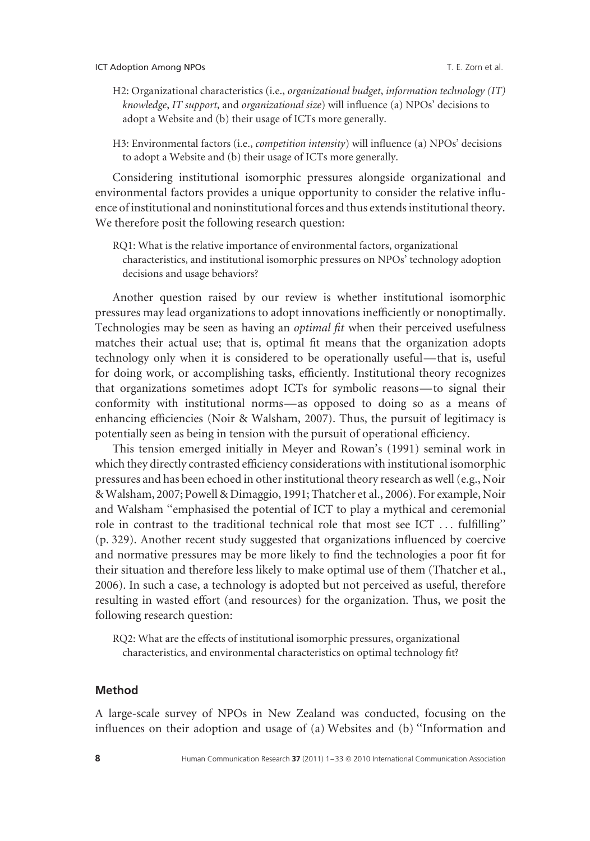- H2: Organizational characteristics (i.e., *organizational budget*, *information technology (IT) knowledge*, *IT support*, and *organizational size*) will influence (a) NPOs' decisions to adopt a Website and (b) their usage of ICTs more generally.
- H3: Environmental factors (i.e., *competition intensity*) will influence (a) NPOs' decisions to adopt a Website and (b) their usage of ICTs more generally.

Considering institutional isomorphic pressures alongside organizational and environmental factors provides a unique opportunity to consider the relative influence of institutional and noninstitutional forces and thus extends institutional theory. We therefore posit the following research question:

RQ1: What is the relative importance of environmental factors, organizational characteristics, and institutional isomorphic pressures on NPOs' technology adoption decisions and usage behaviors?

Another question raised by our review is whether institutional isomorphic pressures may lead organizations to adopt innovations inefficiently or nonoptimally. Technologies may be seen as having an *optimal fit* when their perceived usefulness matches their actual use; that is, optimal fit means that the organization adopts technology only when it is considered to be operationally useful— that is, useful for doing work, or accomplishing tasks, efficiently. Institutional theory recognizes that organizations sometimes adopt ICTs for symbolic reasons— to signal their conformity with institutional norms—as opposed to doing so as a means of enhancing efficiencies (Noir & Walsham, 2007). Thus, the pursuit of legitimacy is potentially seen as being in tension with the pursuit of operational efficiency.

This tension emerged initially in Meyer and Rowan's (1991) seminal work in which they directly contrasted efficiency considerations with institutional isomorphic pressures and has been echoed in other institutional theory research as well (e.g., Noir &Walsham, 2007; Powell & Dimaggio, 1991; Thatcher et al., 2006). For example, Noir and Walsham ''emphasised the potential of ICT to play a mythical and ceremonial role in contrast to the traditional technical role that most see ICT ... fulfilling" (p. 329). Another recent study suggested that organizations influenced by coercive and normative pressures may be more likely to find the technologies a poor fit for their situation and therefore less likely to make optimal use of them (Thatcher et al., 2006). In such a case, a technology is adopted but not perceived as useful, therefore resulting in wasted effort (and resources) for the organization. Thus, we posit the following research question:

RQ2: What are the effects of institutional isomorphic pressures, organizational characteristics, and environmental characteristics on optimal technology fit?

# **Method**

A large-scale survey of NPOs in New Zealand was conducted, focusing on the influences on their adoption and usage of (a) Websites and (b) ''Information and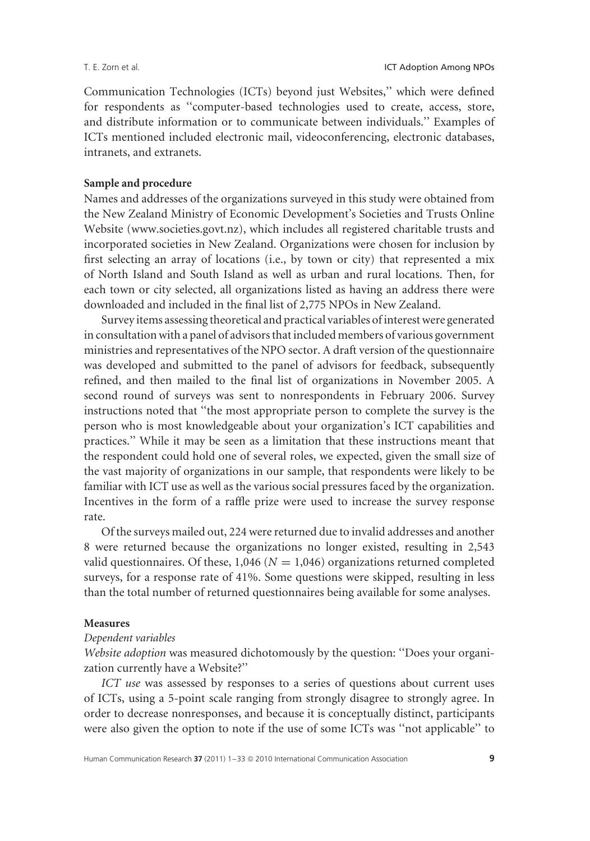Communication Technologies (ICTs) beyond just Websites,'' which were defined for respondents as ''computer-based technologies used to create, access, store, and distribute information or to communicate between individuals.'' Examples of ICTs mentioned included electronic mail, videoconferencing, electronic databases, intranets, and extranets.

### **Sample and procedure**

Names and addresses of the organizations surveyed in this study were obtained from the New Zealand Ministry of Economic Development's Societies and Trusts Online Website (www.societies.govt.nz), which includes all registered charitable trusts and incorporated societies in New Zealand. Organizations were chosen for inclusion by first selecting an array of locations (i.e., by town or city) that represented a mix of North Island and South Island as well as urban and rural locations. Then, for each town or city selected, all organizations listed as having an address there were downloaded and included in the final list of 2,775 NPOs in New Zealand.

Survey items assessing theoretical and practical variables of interest were generated in consultation with a panel of advisors that included members of various government ministries and representatives of the NPO sector. A draft version of the questionnaire was developed and submitted to the panel of advisors for feedback, subsequently refined, and then mailed to the final list of organizations in November 2005. A second round of surveys was sent to nonrespondents in February 2006. Survey instructions noted that ''the most appropriate person to complete the survey is the person who is most knowledgeable about your organization's ICT capabilities and practices.'' While it may be seen as a limitation that these instructions meant that the respondent could hold one of several roles, we expected, given the small size of the vast majority of organizations in our sample, that respondents were likely to be familiar with ICT use as well as the various social pressures faced by the organization. Incentives in the form of a raffle prize were used to increase the survey response rate.

Of the surveys mailed out, 224 were returned due to invalid addresses and another 8 were returned because the organizations no longer existed, resulting in 2,543 valid questionnaires. Of these,  $1,046$  ( $N = 1,046$ ) organizations returned completed surveys, for a response rate of 41%. Some questions were skipped, resulting in less than the total number of returned questionnaires being available for some analyses.

#### **Measures**

#### *Dependent variables*

*Website adoption* was measured dichotomously by the question: ''Does your organization currently have a Website?''

*ICT use* was assessed by responses to a series of questions about current uses of ICTs, using a 5-point scale ranging from strongly disagree to strongly agree. In order to decrease nonresponses, and because it is conceptually distinct, participants were also given the option to note if the use of some ICTs was ''not applicable'' to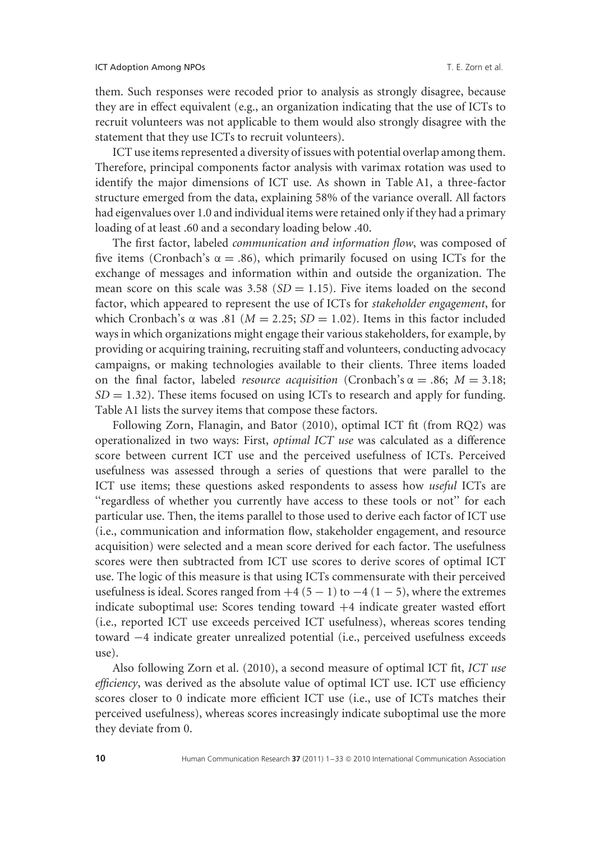them. Such responses were recoded prior to analysis as strongly disagree, because they are in effect equivalent (e.g., an organization indicating that the use of ICTs to recruit volunteers was not applicable to them would also strongly disagree with the statement that they use ICTs to recruit volunteers).

ICT use items represented a diversity of issues with potential overlap among them. Therefore, principal components factor analysis with varimax rotation was used to identify the major dimensions of ICT use. As shown in Table A1, a three-factor structure emerged from the data, explaining 58% of the variance overall. All factors had eigenvalues over 1.0 and individual items were retained only if they had a primary loading of at least .60 and a secondary loading below .40.

The first factor, labeled *communication and information flow*, was composed of five items (Cronbach's  $\alpha = .86$ ), which primarily focused on using ICTs for the exchange of messages and information within and outside the organization. The mean score on this scale was  $3.58$  ( $SD = 1.15$ ). Five items loaded on the second factor, which appeared to represent the use of ICTs for *stakeholder engagement*, for which Cronbach's  $\alpha$  was .81 ( $M = 2.25$ ;  $SD = 1.02$ ). Items in this factor included ways in which organizations might engage their various stakeholders, for example, by providing or acquiring training, recruiting staff and volunteers, conducting advocacy campaigns, or making technologies available to their clients. Three items loaded on the final factor, labeled *resource acquisition* (Cronbach's  $\alpha = .86$ ;  $M = 3.18$ ;  $SD = 1.32$ ). These items focused on using ICTs to research and apply for funding. Table A1 lists the survey items that compose these factors.

Following Zorn, Flanagin, and Bator (2010), optimal ICT fit (from RQ2) was operationalized in two ways: First, *optimal ICT use* was calculated as a difference score between current ICT use and the perceived usefulness of ICTs. Perceived usefulness was assessed through a series of questions that were parallel to the ICT use items; these questions asked respondents to assess how *useful* ICTs are "regardless of whether you currently have access to these tools or not" for each particular use. Then, the items parallel to those used to derive each factor of ICT use (i.e., communication and information flow, stakeholder engagement, and resource acquisition) were selected and a mean score derived for each factor. The usefulness scores were then subtracted from ICT use scores to derive scores of optimal ICT use. The logic of this measure is that using ICTs commensurate with their perceived usefulness is ideal. Scores ranged from  $+4(5-1)$  to  $-4(1-5)$ , where the extremes indicate suboptimal use: Scores tending toward +4 indicate greater wasted effort (i.e., reported ICT use exceeds perceived ICT usefulness), whereas scores tending toward −4 indicate greater unrealized potential (i.e., perceived usefulness exceeds use).

Also following Zorn et al. (2010), a second measure of optimal ICT fit, *ICT use efficiency*, was derived as the absolute value of optimal ICT use. ICT use efficiency scores closer to 0 indicate more efficient ICT use (i.e., use of ICTs matches their perceived usefulness), whereas scores increasingly indicate suboptimal use the more they deviate from 0.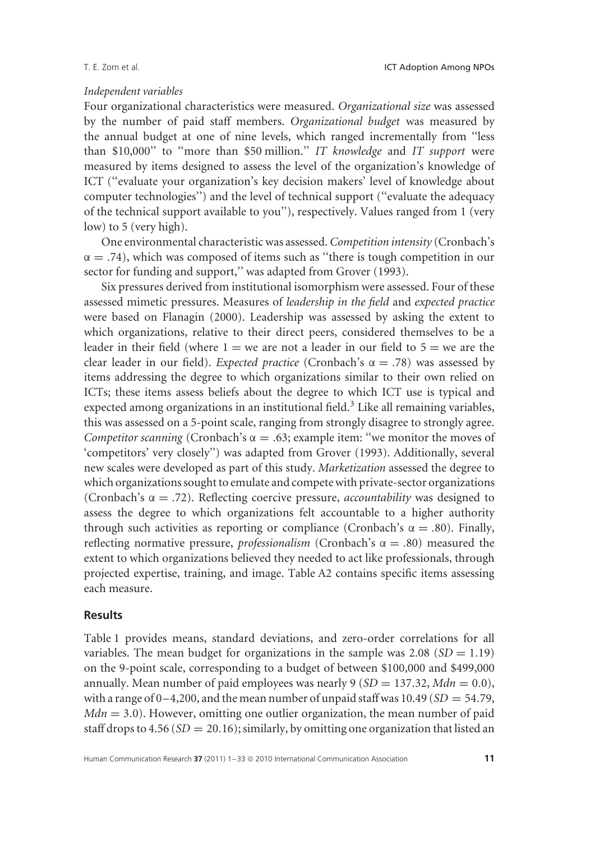### *Independent variables*

Four organizational characteristics were measured. *Organizational size* was assessed by the number of paid staff members. *Organizational budget* was measured by the annual budget at one of nine levels, which ranged incrementally from ''less than \$10,000'' to ''more than \$50 million.'' *IT knowledge* and *IT support* were measured by items designed to assess the level of the organization's knowledge of ICT (''evaluate your organization's key decision makers' level of knowledge about computer technologies'') and the level of technical support (''evaluate the adequacy of the technical support available to you''), respectively. Values ranged from 1 (very low) to 5 (very high).

One environmental characteristic was assessed. *Competition intensity* (Cronbach's  $\alpha = .74$ ), which was composed of items such as "there is tough competition in our sector for funding and support," was adapted from Grover (1993).

Six pressures derived from institutional isomorphism were assessed. Four of these assessed mimetic pressures. Measures of *leadership in the field* and *expected practice* were based on Flanagin (2000). Leadership was assessed by asking the extent to which organizations, relative to their direct peers, considered themselves to be a leader in their field (where  $1 =$  we are not a leader in our field to  $5 =$  we are the clear leader in our field). *Expected practice* (Cronbach's  $\alpha = .78$ ) was assessed by items addressing the degree to which organizations similar to their own relied on ICTs; these items assess beliefs about the degree to which ICT use is typical and expected among organizations in an institutional field.<sup>3</sup> Like all remaining variables, this was assessed on a 5-point scale, ranging from strongly disagree to strongly agree. *Competitor scanning* (Cronbach's  $\alpha = .63$ ; example item: "we monitor the moves of 'competitors' very closely'') was adapted from Grover (1993). Additionally, several new scales were developed as part of this study. *Marketization* assessed the degree to which organizations sought to emulate and compete with private-sector organizations (Cronbach's α = *.*72). Reflecting coercive pressure, *accountability* was designed to assess the degree to which organizations felt accountable to a higher authority through such activities as reporting or compliance (Cronbach's  $\alpha = .80$ ). Finally, reflecting normative pressure, *professionalism* (Cronbach's  $\alpha = .80$ ) measured the extent to which organizations believed they needed to act like professionals, through projected expertise, training, and image. Table A2 contains specific items assessing each measure.

# **Results**

Table 1 provides means, standard deviations, and zero-order correlations for all variables. The mean budget for organizations in the sample was  $2.08$  ( $SD = 1.19$ ) on the 9-point scale, corresponding to a budget of between \$100,000 and \$499,000 annually. Mean number of paid employees was nearly 9 ( $SD = 137.32$ ,  $Mdn = 0.0$ ), with a range of 0–4,200, and the mean number of unpaid staff was 10.49 (*SD* = 54*.*79,  $Mdn = 3.0$ . However, omitting one outlier organization, the mean number of paid staff drops to  $4.56$  ( $SD = 20.16$ ); similarly, by omitting one organization that listed an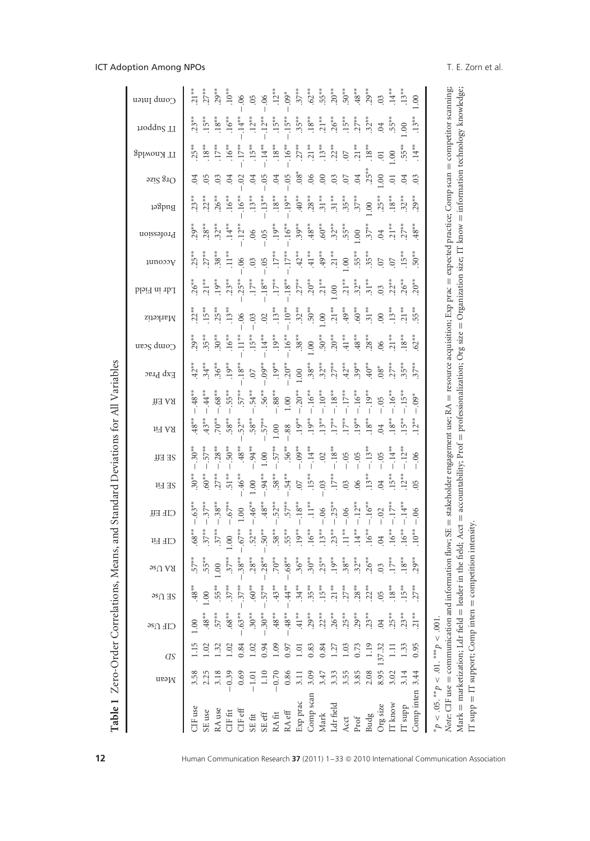#### ICT Adoption Among NPOs **T. E.** Zorn et al.

| Comp Inten                      |           | י∗<br>הלה :<br>39*      |                      | $-10^{**}$                                                                        |                      | .05                                                 |           |                                     |                                                         | $- \underbrace{1\overset{*}{\circ}}_{1\overset{*}{\circ}} \underbrace{1\overset{*}{\circ}}_{2\overset{*}{\circ}} \underbrace{1\overset{*}{\circ}}_{3\overset{*}{\circ}} \underbrace{1\overset{*}{\circ}}_{3\overset{*}{\circ}} \underbrace{1\overset{*}{\circ}}_{3\overset{*}{\circ}} \underbrace{1\overset{*}{\circ}}_{3\overset{*}{\circ}} \underbrace{1\overset{*}{\circ}}_{4\overset{*}{\circ}} \underbrace{1\overset{*}{\circ}}_{3\overset{*}{\circ}} \underbrace{1\overset{*}{\circ}}_{4\overset{*}{\circ}} \underbrace{1\overset{*}{\circ$ |                                                                                                                                                                                                                                                                                                                                                                                                                    |             |                      |                                                                                                                                                                                                                                                                                                                                                                                                                |                                 |                                                               |                             |                                             |           | $\odot$         |                                                                                                                       |
|---------------------------------|-----------|-------------------------|----------------------|-----------------------------------------------------------------------------------|----------------------|-----------------------------------------------------|-----------|-------------------------------------|---------------------------------------------------------|---------------------------------------------------------------------------------------------------------------------------------------------------------------------------------------------------------------------------------------------------------------------------------------------------------------------------------------------------------------------------------------------------------------------------------------------------------------------------------------------------------------------------------------------------|--------------------------------------------------------------------------------------------------------------------------------------------------------------------------------------------------------------------------------------------------------------------------------------------------------------------------------------------------------------------------------------------------------------------|-------------|----------------------|----------------------------------------------------------------------------------------------------------------------------------------------------------------------------------------------------------------------------------------------------------------------------------------------------------------------------------------------------------------------------------------------------------------|---------------------------------|---------------------------------------------------------------|-----------------------------|---------------------------------------------|-----------|-----------------|-----------------------------------------------------------------------------------------------------------------------|
| 110ddns TI                      | $.23**$   |                         |                      |                                                                                   |                      |                                                     |           |                                     |                                                         |                                                                                                                                                                                                                                                                                                                                                                                                                                                                                                                                                   |                                                                                                                                                                                                                                                                                                                                                                                                                    |             |                      |                                                                                                                                                                                                                                                                                                                                                                                                                |                                 |                                                               |                             |                                             |           | $.13*$          |                                                                                                                       |
| T Knowldg                       | $25**$    | $.18^{\ast\ast}$        | $.17*$               |                                                                                   |                      |                                                     |           |                                     |                                                         |                                                                                                                                                                                                                                                                                                                                                                                                                                                                                                                                                   |                                                                                                                                                                                                                                                                                                                                                                                                                    |             |                      |                                                                                                                                                                                                                                                                                                                                                                                                                |                                 |                                                               |                             | $\frac{1}{2}$                               | $.55**$   | $14**$          |                                                                                                                       |
| Org Size                        | Š.        | 0 <sup>5</sup>          | $\ddot{\circ}$       | $\mathfrak{S}$                                                                    | $-0.2$               |                                                     | $-0.5$    | $6^{\circ}$                         | $-0.05$                                                 | 88.9                                                                                                                                                                                                                                                                                                                                                                                                                                                                                                                                              |                                                                                                                                                                                                                                                                                                                                                                                                                    |             | 60.                  | $\odot$                                                                                                                                                                                                                                                                                                                                                                                                        | $\ddot{\theta}$                 | $.25***$                                                      | $1.00\,$                    | $\Xi$                                       | 64        | $\ddot{\circ}$  |                                                                                                                       |
| Budget                          | $.23*$    |                         | $.22**$<br>$.26**$   | $.16***$                                                                          |                      | $-16**$<br>$-13**$<br>$-13**$<br>$-19**$<br>$-19**$ |           |                                     |                                                         |                                                                                                                                                                                                                                                                                                                                                                                                                                                                                                                                                   |                                                                                                                                                                                                                                                                                                                                                                                                                    |             |                      |                                                                                                                                                                                                                                                                                                                                                                                                                |                                 |                                                               | $.25^{*}$                   | $.18**$<br>32*                              |           | $29*$           |                                                                                                                       |
| Profession                      | $.29**$   | $.32***$                |                      | $\begin{array}{r} .14** \\ -.12** \\ .06 \end{array}$ - .12**<br>- .05<br>- .16** |                      |                                                     |           |                                     |                                                         |                                                                                                                                                                                                                                                                                                                                                                                                                                                                                                                                                   |                                                                                                                                                                                                                                                                                                                                                                                                                    |             |                      |                                                                                                                                                                                                                                                                                                                                                                                                                |                                 |                                                               |                             |                                             |           | $.48*$          |                                                                                                                       |
| Account                         | $.25*$    | $.38**$                 |                      | $\frac{1}{11}$ $\frac{8}{11}$ $\frac{6}{11}$ $\frac{6}{11}$ $\frac{6}{11}$        |                      |                                                     |           | $17***$<br>- $17***$                |                                                         | $42**$<br>$41**$<br>$49**$<br>$49**$<br>$1.00$                                                                                                                                                                                                                                                                                                                                                                                                                                                                                                    |                                                                                                                                                                                                                                                                                                                                                                                                                    |             |                      |                                                                                                                                                                                                                                                                                                                                                                                                                |                                 | $55^{**}$<br>$55^{**}$<br>$0000000$<br>$000000$<br>$0.5^{**}$ |                             |                                             |           | $.50**$         |                                                                                                                       |
| Ldr in Field                    | $.26**$   | $.19**$                 |                      |                                                                                   |                      |                                                     |           |                                     |                                                         | $\begin{array}{cccc}\n & \stackrel{1}{\cancel{2}} \\  \hline\n 1 & 0 & 0 \\  \hline\n 2 & 0 & 0 \\  \hline\n 3 & 0 & 0 \\  \hline\n 4 & 0 & 0 \\  \hline\n 5 & 0 & 0 \\  \hline\n 6 & 0 & 0 \\  \hline\n 7 & 0 & 0 \\  \hline\n 8 & 0 & 0 \\  \hline\n 9 & 0 & 0 \\  \hline\n 1 & 0 & 0 \\  \hline\n 1 & 0 & 0 \\  \hline\n 1 & 0 & 0 \\  \hline\n 1 & 0 & 0 \\  \hline\n 1 & 0 & 0 \\  \hline\n 1 & 0 & 0 \\  \hline\n$                                                                                                                          |                                                                                                                                                                                                                                                                                                                                                                                                                    |             |                      |                                                                                                                                                                                                                                                                                                                                                                                                                |                                 |                                                               |                             |                                             |           | $.20*$          |                                                                                                                       |
| Marketiz                        |           | $22*$<br>$15*$<br>$15*$ |                      | $.13***$                                                                          | $-0.06$              | $-0.03$                                             | 02        |                                     | $.13***$<br>$-.10***$                                   | $\begin{array}{ccccccccc}\n & \stackrel{1}{\cancel{5}} & \stackrel{1}{\cancel{5}} & \stackrel{1}{\cancel{5}} & \stackrel{1}{\cancel{5}} & \stackrel{1}{\cancel{5}} & \stackrel{1}{\cancel{5}} & \stackrel{1}{\cancel{5}} & \stackrel{1}{\cancel{5}} & \stackrel{1}{\cancel{5}} & \stackrel{1}{\cancel{5}} & \stackrel{1}{\cancel{5}} & \stackrel{1}{\cancel{5}} & \stackrel{1}{\cancel{5}} & \stackrel{1}{\cancel{5}} & \stackrel{1}{\cancel{5}} & \stackrel{1}{\cancel{5}} & \stackrel{1}{\cancel{5}} & \stackrel{1$                             |                                                                                                                                                                                                                                                                                                                                                                                                                    |             |                      |                                                                                                                                                                                                                                                                                                                                                                                                                |                                 |                                                               |                             |                                             |           | $.55*$          |                                                                                                                       |
| Comp Scan                       | $.29*$    |                         | $35***$<br>$30***$   | $-16***$<br>$-11***$                                                              |                      | $.15**$                                             | $-14**$   | $.19***$<br>-.16**                  |                                                         | $\ddot{3}$<br>$\ddot{3}$<br>$\ddot{5}$<br>$\ddot{6}$<br>$\ddot{7}$<br>$\ddot{8}$<br>$\ddot{8}$<br>$\ddot{8}$<br>$\ddot{8}$<br>$\ddot{8}$<br>$\ddot{8}$<br>$\ddot{8}$<br>$\ddot{8}$<br>$\ddot{8}$<br>$\ddot{8}$<br>$\ddot{8}$<br>$\ddot{8}$<br>$\ddot{8}$<br>$\ddot{8}$<br>$\ddot{8}$<br>$\ddot{8}$<br>$\ddot{8}$<br>                                                                                                                                                                                                                              |                                                                                                                                                                                                                                                                                                                                                                                                                    |             |                      |                                                                                                                                                                                                                                                                                                                                                                                                                |                                 |                                                               |                             |                                             |           | $.62**$         |                                                                                                                       |
| Exp Prac                        | $^{*2}$   |                         | $.34***$<br>$.36***$ | $.19**$                                                                           | $-18**$              | $\sim$                                              | $-0.0$    | $.19***$<br>$-20***$<br>1.00        |                                                         |                                                                                                                                                                                                                                                                                                                                                                                                                                                                                                                                                   |                                                                                                                                                                                                                                                                                                                                                                                                                    |             |                      | $\begin{array}{ccccccccc}\n\ddot{s}&\ddot{s}&\ddot{s}&\ddot{s}&\ddot{s}&\ddot{s}&\ddot{s}&\ddot{s}\\ \ddot{r}&\ddot{r}&\ddot{r}&\ddot{r}&\ddot{r}&\ddot{s}&\ddot{s}&\ddot{s}&\ddot{s}\\ \ddot{r}&\ddot{r}&\ddot{r}&\ddot{r}&\ddot{r}&\ddot{r}&\ddot{s}&\ddot{s}&\ddot{s}\ddot{s}\\ \ddot{r}&\ddot{r}&\ddot{r}&\ddot{r}&\ddot{r}&\ddot{s}&\ddot{s}\ddot{s}\ddot{s}\ddot{s}\ddot{s}\ddot{s}\ddot$                |                                 |                                                               |                             |                                             |           | $.37*$          |                                                                                                                       |
| RA Eff                          | $-48**$   | $-.44***$               | $-0.68**$            | $-.55***$                                                                         | $-57***$<br>$-54***$ |                                                     |           | $-56**$<br>$-88**$<br>$-1.00$       |                                                         | $-0.20***$<br>$-16***$                                                                                                                                                                                                                                                                                                                                                                                                                                                                                                                            |                                                                                                                                                                                                                                                                                                                                                                                                                    | $-.10^{**}$ | $-18***$<br>$-17***$ |                                                                                                                                                                                                                                                                                                                                                                                                                | $-.16**$                        | $-0.19$                                                       | $-0.05$                     | $-.16***$                                   | $-15*$    | $-0.09*$        |                                                                                                                       |
| RA Fit                          | $48**$    | $.43***$                | $.70**$              |                                                                                   |                      |                                                     |           | $1.00\,$                            | $-0.88$                                                 | $.19^{**}$                                                                                                                                                                                                                                                                                                                                                                                                                                                                                                                                        | $.19***$<br>$.13***$                                                                                                                                                                                                                                                                                                                                                                                               |             | $.17*$               | $.17*$                                                                                                                                                                                                                                                                                                                                                                                                         | $.19**$                         | $.18*$                                                        | 04                          | $18^{*}$                                    | $-15*$    | $.12*$          |                                                                                                                       |
| SE Eff                          | $-.30**$  | $-.57***$               | $-.28**$             | $-.50**$                                                                          | $-94***$             |                                                     | $1.00\,$  |                                     |                                                         |                                                                                                                                                                                                                                                                                                                                                                                                                                                                                                                                                   |                                                                                                                                                                                                                                                                                                                                                                                                                    |             |                      |                                                                                                                                                                                                                                                                                                                                                                                                                |                                 |                                                               | $-0.5$                      | $-.14***$                                   | $-12*$    | $-0.06$         | stakeholder engagement use; RA = resource acquisition; Exp prac = expected practice; Comp scan = competitor scanning; |
| JIH HS                          | $30**$    | $.60**$                 | $.27*$               | $-46***$                                                                          |                      | 1.00                                                | $-.94***$ |                                     |                                                         | $-58$ <sup>**</sup><br>$-54$ <sup>*</sup><br>$-15$ <sup>*</sup><br>$-15$ <sup>*</sup><br>$-17$ <sup>*</sup>                                                                                                                                                                                                                                                                                                                                                                                                                                       |                                                                                                                                                                                                                                                                                                                                                                                                                    |             |                      |                                                                                                                                                                                                                                                                                                                                                                                                                | $\overline{0}$                  | $.13*$                                                        | $\ddot{0}$                  | $15*$                                       | $.12*$    | 0 <sup>5</sup>  |                                                                                                                       |
| <b>CIE EU</b>                   | $-.63***$ | $-.37***$               | $-.38**$             | $-.67***$                                                                         | $1.00$               | $-.46**$                                            |           | $-52**$<br>$-52***$                 |                                                         | $-18**$<br>$-11**$<br>$-06$<br>$-05**$<br>$-12**$                                                                                                                                                                                                                                                                                                                                                                                                                                                                                                 |                                                                                                                                                                                                                                                                                                                                                                                                                    |             |                      |                                                                                                                                                                                                                                                                                                                                                                                                                |                                 |                                                               | $-16**$<br>$-02$<br>$-17**$ |                                             | $-.14***$ | $-0.06$         |                                                                                                                       |
| CIE E!t                         | $.68**$   | $.37***$                |                      | 0.001                                                                             |                      | $-67***$<br>52**                                    | $-.50**$  | $.58***$<br>$.55***$                |                                                         | $.19^{**}$                                                                                                                                                                                                                                                                                                                                                                                                                                                                                                                                        | $.16***$<br>$.13***$                                                                                                                                                                                                                                                                                                                                                                                               |             | $.23**$              | $\cdot11^{**}$                                                                                                                                                                                                                                                                                                                                                                                                 | $.14***$                        | $.16*$                                                        | $\ddot{c}$                  | $.16^{**}$                                  | $.16*$    | $10^{**}$       |                                                                                                                       |
| 9sU AЯ                          | $57*$     | $.55***$                | $00$ .               | $37**$                                                                            | $-.38***$            | $.28^{**}$                                          | $-.28**$  | $.70**$                             | $-0.68^{**}$                                            | $.36**$                                                                                                                                                                                                                                                                                                                                                                                                                                                                                                                                           | $.30***$<br>$.25***$                                                                                                                                                                                                                                                                                                                                                                                               |             | $\cdot^{19^{**}}$    | $.38**$                                                                                                                                                                                                                                                                                                                                                                                                        | $.32***$                        | $.26^{*}$                                                     | 0 <sup>3</sup>              | $.17**$                                     | $.18*$    | $.29***$        | d information flow; $SE =$                                                                                            |
| $\partial^s \Omega$ $\exists S$ | $.48**$   | $00$ .                  | $.55***$<br>$.37***$ |                                                                                   | $-.37***$            | $60**$                                              | $-.57***$ | $A3^{\ast\ast}$                     | $.44**$                                                 |                                                                                                                                                                                                                                                                                                                                                                                                                                                                                                                                                   | $\begin{array}{c} 34 \overline{)11} \\ 35 \overline{)11} \\ 5 \overline{)11} \\ 5 \overline{)11} \\ 5 \overline{)11} \\ 5 \overline{)11} \\ 5 \overline{)11} \\ 5 \overline{)11} \\ 5 \overline{)11} \\ 5 \overline{)11} \\ 5 \overline{)11} \\ 5 \overline{)11} \\ 5 \overline{)11} \\ 5 \overline{)12} \\ 5 \overline{)13} \\ 5 \overline{)14} \\ 5 \overline{)15} \\ 5 \overline{)16} \\ 5 \overline{)16} \\ 5$ |             |                      |                                                                                                                                                                                                                                                                                                                                                                                                                | $.28***$<br>$.22***$            |                                                               | 0 <sup>5</sup>              | $.18^{\ast\ast}$                            | $.15**$   | $27***$         |                                                                                                                       |
| $CIE$ $\Omega$ se               | 0.100     |                         |                      | $.68**$                                                                           |                      | $.30**$                                             | $-.30***$ | $\cdot ^{48^{\ast\ast}}$            | $-48**$                                                 |                                                                                                                                                                                                                                                                                                                                                                                                                                                                                                                                                   |                                                                                                                                                                                                                                                                                                                                                                                                                    |             |                      | $\begin{array}{cccccccccc} \frac{1}{4} & \frac{1}{4} & \frac{1}{4} & \frac{1}{4} & \frac{1}{4} & \frac{1}{4} & \frac{1}{4} & \frac{1}{4} & \frac{1}{4} & \frac{1}{4} & \frac{1}{4} & \frac{1}{4} & \frac{1}{4} & \frac{1}{4} & \frac{1}{4} & \frac{1}{4} & \frac{1}{4} & \frac{1}{4} & \frac{1}{4} & \frac{1}{4} & \frac{1}{4} & \frac{1}{4} & \frac{1}{4} & \frac{1}{4} & \frac{1}{4} & \frac{1}{4} & \frac{$ |                                 |                                                               |                             |                                             |           |                 |                                                                                                                       |
| <b>as</b>                       |           |                         |                      | 1.02                                                                              | 0.84                 | 1.02                                                |           | $0.94$<br>1.09                      | 0.97                                                    |                                                                                                                                                                                                                                                                                                                                                                                                                                                                                                                                                   | $\begin{array}{c} 1.01 \\ 0.83 \\ 0.84 \end{array}$                                                                                                                                                                                                                                                                                                                                                                |             | $\frac{27}{2}$       | 1.03                                                                                                                                                                                                                                                                                                                                                                                                           | 0.73                            |                                                               | 137.32                      |                                             | 1.33      | 0.95            |                                                                                                                       |
| Mean                            | 3.58      |                         |                      |                                                                                   | $-0.39$<br>0.69      |                                                     | $1.10$    | $-0.70$                             | 0.86                                                    |                                                                                                                                                                                                                                                                                                                                                                                                                                                                                                                                                   | 3.09                                                                                                                                                                                                                                                                                                                                                                                                               | 3.47        | 3.33                 |                                                                                                                                                                                                                                                                                                                                                                                                                | $3, 3, 3, 3, 6$<br>$3, 3, 3, 6$ |                                                               | 8.95 1                      | 3.02                                        | 3.14      |                 |                                                                                                                       |
|                                 | $IIF$ use | SE use                  | <b>A</b> use         | <b>IFfit</b>                                                                      | $CIF$ eff            | SE fit                                              |           | $\mathop{\mathrm{SE}}\nolimits$ eff | $\operatorname{\mathsf{vA}}\operatorname{\mathsf{eff}}$ |                                                                                                                                                                                                                                                                                                                                                                                                                                                                                                                                                   | Exp prac<br>Comp scan<br>Mark<br>Ldr field                                                                                                                                                                                                                                                                                                                                                                         |             |                      | Acct                                                                                                                                                                                                                                                                                                                                                                                                           | Prof                            |                                                               |                             | $\mathop{\mathrm{Trg}\,\mathrm{size}}$ size | ddns.     | Comp inten 3.44 | Note: CIF use = communication an<br>* $p < .05$ . ** $p < .01$ . *** $p < .001$ .                                     |

**Table 1** Zero-Order Correlations, Means, and Standard Deviations for All Variables

Table 1 Zero-Order Correlations, Means, and Standard Deviations for All Variables

Mark =

 $IT$  supp  $=$ 

IT support; Comp inten

marketization; Ldr field

leader in the field; Acct

competition intensity.

accountability; Prof

professionalization; Org size

Organization size; IT know

information technology knowledge;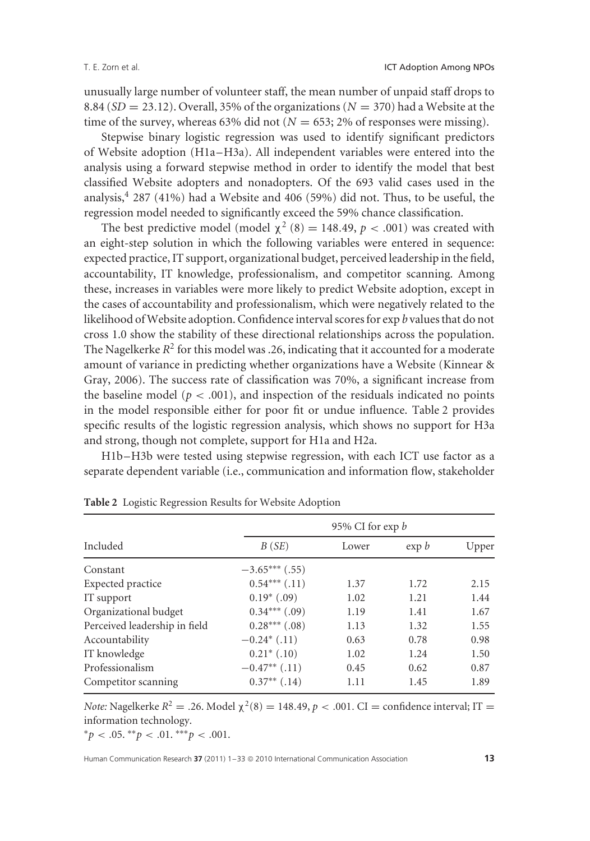unusually large number of volunteer staff, the mean number of unpaid staff drops to 8.84 (*SD* = 23*.*12). Overall, 35% of the organizations (*N* = 370) had a Website at the time of the survey, whereas 63% did not ( $N = 653$ ; 2% of responses were missing).

Stepwise binary logistic regression was used to identify significant predictors of Website adoption (H1a–H3a). All independent variables were entered into the analysis using a forward stepwise method in order to identify the model that best classified Website adopters and nonadopters. Of the 693 valid cases used in the analysis,  $4\,287\,(41\%)$  had a Website and 406 (59%) did not. Thus, to be useful, the regression model needed to significantly exceed the 59% chance classification.

The best predictive model (model  $\chi^2$  (8) = 148.49, *p* < .001) was created with an eight-step solution in which the following variables were entered in sequence: expected practice, IT support, organizational budget, perceived leadership in the field, accountability, IT knowledge, professionalism, and competitor scanning. Among these, increases in variables were more likely to predict Website adoption, except in the cases of accountability and professionalism, which were negatively related to the likelihood of Website adoption. Confidence interval scores for exp *b* values that do not cross 1.0 show the stability of these directional relationships across the population. The Nagelkerke  $R^2$  for this model was .26, indicating that it accounted for a moderate amount of variance in predicting whether organizations have a Website (Kinnear & Gray, 2006). The success rate of classification was 70%, a significant increase from the baseline model ( $p < .001$ ), and inspection of the residuals indicated no points in the model responsible either for poor fit or undue influence. Table 2 provides specific results of the logistic regression analysis, which shows no support for H3a and strong, though not complete, support for H1a and H2a.

H1b–H3b were tested using stepwise regression, with each ICT use factor as a separate dependent variable (i.e., communication and information flow, stakeholder

|                               |                            | 95% CI for $\exp b$ |       |       |
|-------------------------------|----------------------------|---------------------|-------|-------|
| Included                      | B(SE)                      | Lower               | exp b | Upper |
| Constant                      | $-3.65***$ (.55)           |                     |       |       |
| Expected practice             | $0.54***$ (.11)            | 1.37                | 1.72  | 2.15  |
| IT support                    | $0.19*(.09)$               | 1.02                | 1.21  | 1.44  |
| Organizational budget         | $0.34***$ (.09)            | 1.19                | 1.41  | 1.67  |
| Perceived leadership in field | $0.28***$ (.08)            | 1.13                | 1.32  | 1.55  |
| Accountability                | $-0.24$ <sup>*</sup> (.11) | 0.63                | 0.78  | 0.98  |
| IT knowledge                  | $0.21^*$ (.10)             | 1.02                | 1.24  | 1.50  |
| Professionalism               | $-0.47**$ (.11)            | 0.45                | 0.62  | 0.87  |
| Competitor scanning           | $0.37**$ (.14)             | 1.11                | 1.45  | 1.89  |

**Table 2** Logistic Regression Results for Website Adoption

*Note:* Nagelkerke  $R^2 = .26$ . Model  $\chi^2(8) = 148.49$ ,  $p < .001$ . CI = confidence interval; IT = information technology.

$$
*p < .05. **p < .01. **p < .001.
$$

Human Communication Research **37** (2011) 1–33 © 2010 International Communication Association **13**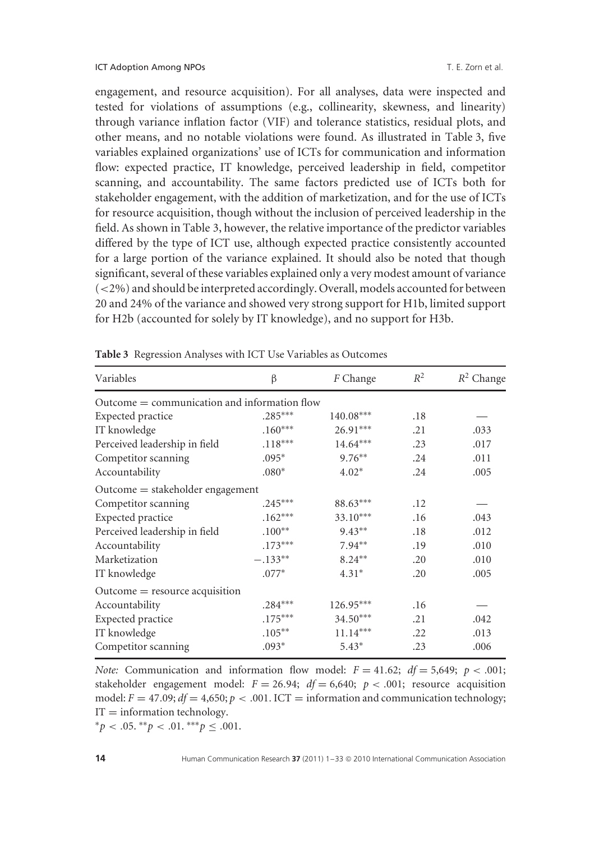engagement, and resource acquisition). For all analyses, data were inspected and tested for violations of assumptions (e.g., collinearity, skewness, and linearity) through variance inflation factor (VIF) and tolerance statistics, residual plots, and other means, and no notable violations were found. As illustrated in Table 3, five variables explained organizations' use of ICTs for communication and information flow: expected practice, IT knowledge, perceived leadership in field, competitor scanning, and accountability. The same factors predicted use of ICTs both for stakeholder engagement, with the addition of marketization, and for the use of ICTs for resource acquisition, though without the inclusion of perceived leadership in the field. As shown in Table 3, however, the relative importance of the predictor variables differed by the type of ICT use, although expected practice consistently accounted for a large portion of the variance explained. It should also be noted that though significant, several of these variables explained only a very modest amount of variance (*<*2%) and should be interpreted accordingly. Overall, models accounted for between 20 and 24% of the variance and showed very strong support for H1b, limited support for H2b (accounted for solely by IT knowledge), and no support for H3b.

| Variables                                      | β         | $F$ Change | $R^2$ | $R^2$ Change |
|------------------------------------------------|-----------|------------|-------|--------------|
| $Outcome = communication$ and information flow |           |            |       |              |
| Expected practice                              | $.285***$ | 140.08***  | .18   |              |
| IT knowledge                                   | $.160***$ | $26.91***$ | .21   | .033         |
| Perceived leadership in field                  | $.118***$ | $14.64***$ | .23   | .017         |
| Competitor scanning                            | $.095*$   | $9.76**$   | .24   | .011         |
| Accountability                                 | $.080*$   | $4.02*$    | .24   | .005         |
| $Outcome = stakeholders$ engagement            |           |            |       |              |
| Competitor scanning                            | $.245***$ | 88.63***   | .12   |              |
| Expected practice                              | $.162***$ | 33.10***   | .16   | .043         |
| Perceived leadership in field                  | $.100**$  | $9.43**$   | .18   | .012         |
| Accountability                                 | $.173***$ | $7.94**$   | .19   | .010         |
| Marketization                                  | $-.133**$ | $8.24***$  | .20   | .010         |
| IT knowledge                                   | $.077*$   | $4.31*$    | .20   | .005         |
| $Outcome = resource acquisition$               |           |            |       |              |
| Accountability                                 | $.284***$ | 126.95***  | .16   |              |
| Expected practice                              | $.175***$ | $34.50***$ | .21   | .042         |
| IT knowledge                                   | $.105**$  | $11.14***$ | .22   | .013         |
| Competitor scanning                            | $.093*$   | $5.43*$    | .23   | .006         |
|                                                |           |            |       |              |

**Table 3** Regression Analyses with ICT Use Variables as Outcomes

*Note:* Communication and information flow model:  $F = 41.62$ ;  $df = 5,649$ ;  $p < .001$ ; stakeholder engagement model:  $F = 26.94$ ;  $df = 6.640$ ;  $p < .001$ ; resource acquisition model:  $F = 47.09$ ;  $df = 4,650$ ;  $p < .001$ . ICT = information and communication technology;  $IT = information technology.$ 

<sup>∗</sup>*p < .*05. ∗∗*p < .*01. ∗∗∗*p* ≤ *.*001.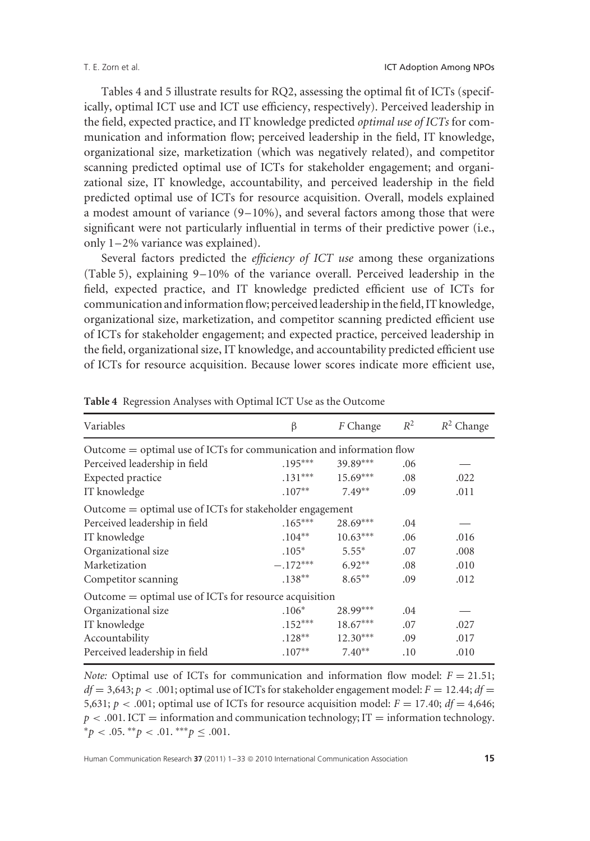Tables 4 and 5 illustrate results for RQ2, assessing the optimal fit of ICTs (specifically, optimal ICT use and ICT use efficiency, respectively). Perceived leadership in the field, expected practice, and IT knowledge predicted *optimal use of ICTs* for communication and information flow; perceived leadership in the field, IT knowledge, organizational size, marketization (which was negatively related), and competitor scanning predicted optimal use of ICTs for stakeholder engagement; and organizational size, IT knowledge, accountability, and perceived leadership in the field predicted optimal use of ICTs for resource acquisition. Overall, models explained a modest amount of variance (9–10%), and several factors among those that were significant were not particularly influential in terms of their predictive power (i.e., only 1–2% variance was explained).

Several factors predicted the *efficiency of ICT use* among these organizations (Table 5), explaining 9–10% of the variance overall. Perceived leadership in the field, expected practice, and IT knowledge predicted efficient use of ICTs for communication andinformation flow; perceived leadershipin the field, IT knowledge, organizational size, marketization, and competitor scanning predicted efficient use of ICTs for stakeholder engagement; and expected practice, perceived leadership in the field, organizational size, IT knowledge, and accountability predicted efficient use of ICTs for resource acquisition. Because lower scores indicate more efficient use,

| Variables                                                            | β          | F Change   | $R^2$ | $R^2$ Change |
|----------------------------------------------------------------------|------------|------------|-------|--------------|
| Outcome = optimal use of ICTs for communication and information flow |            |            |       |              |
| Perceived leadership in field                                        | $.195***$  | 39.89***   | .06   |              |
| Expected practice                                                    | $.131***$  | $15.69***$ | .08   | .022         |
| IT knowledge                                                         | $.107**$   | $7.49**$   | .09   | .011         |
| $Outcome = optimal use of ICTs for stakeholder engagement$           |            |            |       |              |
| Perceived leadership in field                                        | $.165***$  | $28.69***$ | .04   |              |
| IT knowledge                                                         | $.104**$   | $10.63***$ | .06   | .016         |
| Organizational size                                                  | $.105*$    | $5.55*$    | .07   | .008         |
| Marketization                                                        | $-.172***$ | $6.92**$   | .08   | .010         |
| Competitor scanning                                                  | $.138***$  | $8.65***$  | .09   | .012         |
| Outcome $=$ optimal use of ICTs for resource acquisition             |            |            |       |              |
| Organizational size                                                  | $.106*$    | 28.99***   | .04   |              |
| IT knowledge                                                         | $.152***$  | $18.67***$ | .07   | .027         |
| Accountability                                                       | $.128***$  | $12.30***$ | .09   | .017         |
| Perceived leadership in field                                        | $.107**$   | $7.40**$   | .10   | .010         |

**Table 4** Regression Analyses with Optimal ICT Use as the Outcome

*Note:* Optimal use of ICTs for communication and information flow model:  $F = 21.51$ ;  $df = 3,643; p < .001;$  optimal use of ICTs for stakeholder engagement model:  $F = 12.44; df =$ 5,631;  $p < .001$ ; optimal use of ICTs for resource acquisition model:  $F = 17.40$ ;  $df = 4,646$ ;  $p < .001$ . ICT = information and communication technology; IT = information technology.  ${}^*p < .05.$   ${}^{**}p < .01.$   ${}^{***}p \le .001.$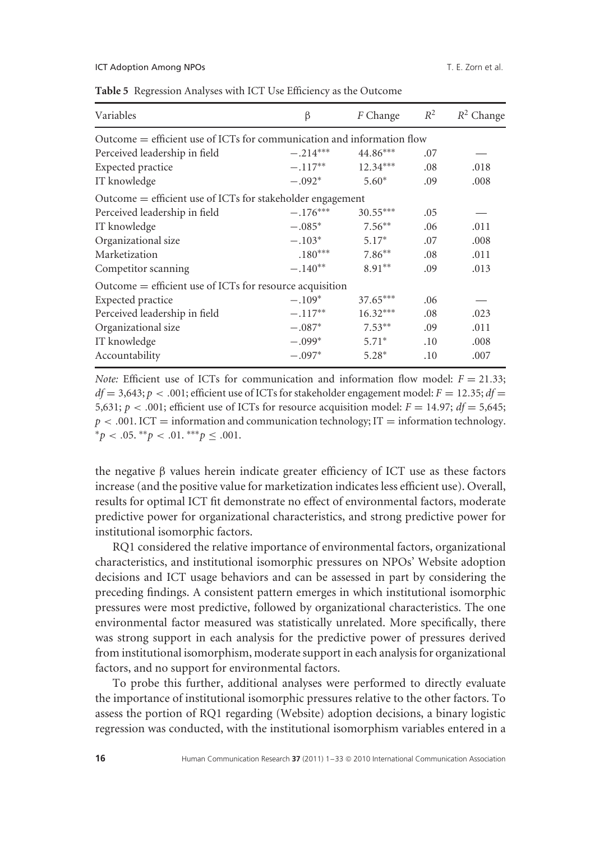| Variables                                                                | $\beta$    | F Change   | $R^2$ | $R^2$ Change |
|--------------------------------------------------------------------------|------------|------------|-------|--------------|
| $Outcome = efficient use of ICTs for communication and information flow$ |            |            |       |              |
| Perceived leadership in field                                            | $-.214***$ | 44.86***   | .07   |              |
| Expected practice                                                        | $-.117**$  | 12.34***   | .08   | .018         |
| IT knowledge                                                             | $-.092*$   | $5.60*$    | .09   | .008         |
| Outcome = efficient use of ICTs for stakeholder engagement               |            |            |       |              |
| Perceived leadership in field                                            | $-.176***$ | $30.55***$ | .05   |              |
| IT knowledge                                                             | $-.085*$   | $7.56**$   | .06   | .011         |
| Organizational size                                                      | $-.103*$   | $5.17*$    | .07   | .008         |
| Marketization                                                            | $.180***$  | $7.86**$   | .08   | .011         |
| Competitor scanning                                                      | $-.140**$  | $8.91**$   | .09   | .013         |
| $Outcome = efficient use of ICTs for resource acquisition$               |            |            |       |              |
| Expected practice                                                        | $-.109*$   | $37.65***$ | .06   |              |
| Perceived leadership in field                                            | $-.117**$  | $16.32***$ | .08   | .023         |
| Organizational size                                                      | $-.087*$   | $7.53**$   | .09   | .011         |
| IT knowledge                                                             | $-.099*$   | $5.71*$    | .10   | .008         |
| Accountability                                                           | $-.097*$   | $5.28*$    | .10   | .007         |

**Table 5** Regression Analyses with ICT Use Efficiency as the Outcome

*Note:* Efficient use of ICTs for communication and information flow model:  $F = 21.33$ ;  $df = 3,643; p < .001;$  efficient use of ICTs for stakeholder engagement model:  $F = 12.35; df =$ 5,631;  $p < .001$ ; efficient use of ICTs for resource acquisition model:  $F = 14.97$ ;  $df = 5,645$ ;  $p < .001$ . ICT = information and communication technology; IT = information technology. <sup>∗</sup>*p < .*05. ∗∗*p < .*01. ∗∗∗*p* ≤ *.*001.

the negative β values herein indicate greater efficiency of ICT use as these factors increase (and the positive value for marketization indicates less efficient use). Overall, results for optimal ICT fit demonstrate no effect of environmental factors, moderate predictive power for organizational characteristics, and strong predictive power for institutional isomorphic factors.

RQ1 considered the relative importance of environmental factors, organizational characteristics, and institutional isomorphic pressures on NPOs' Website adoption decisions and ICT usage behaviors and can be assessed in part by considering the preceding findings. A consistent pattern emerges in which institutional isomorphic pressures were most predictive, followed by organizational characteristics. The one environmental factor measured was statistically unrelated. More specifically, there was strong support in each analysis for the predictive power of pressures derived from institutional isomorphism, moderate support in each analysis for organizational factors, and no support for environmental factors.

To probe this further, additional analyses were performed to directly evaluate the importance of institutional isomorphic pressures relative to the other factors. To assess the portion of RQ1 regarding (Website) adoption decisions, a binary logistic regression was conducted, with the institutional isomorphism variables entered in a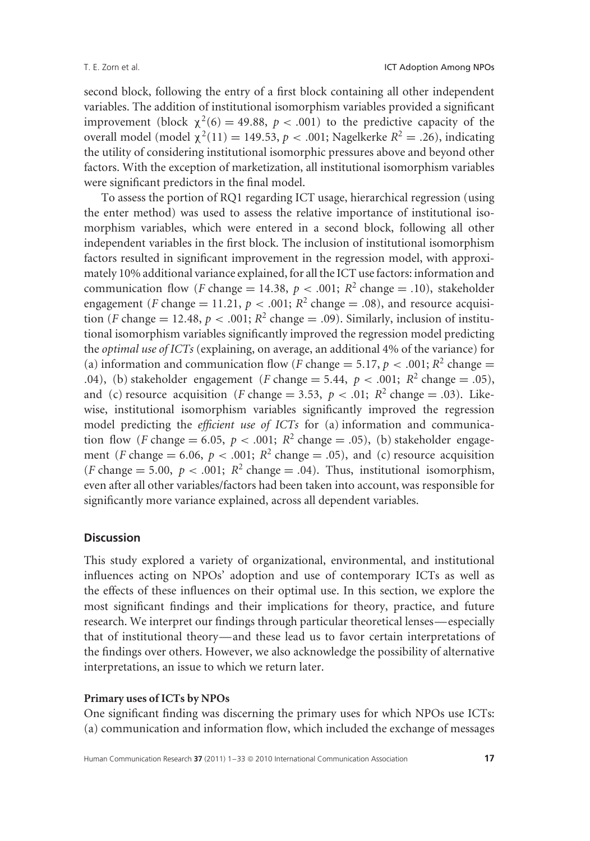second block, following the entry of a first block containing all other independent variables. The addition of institutional isomorphism variables provided a significant improvement (block  $\chi^2(6) = 49.88$ ,  $p < .001$ ) to the predictive capacity of the overall model (model  $χ<sup>2</sup>(11) = 149.53, *p* < .001; Nagelkerke *R*<sup>2</sup> = .26)$ , indicating the utility of considering institutional isomorphic pressures above and beyond other factors. With the exception of marketization, all institutional isomorphism variables were significant predictors in the final model.

To assess the portion of RQ1 regarding ICT usage, hierarchical regression (using the enter method) was used to assess the relative importance of institutional isomorphism variables, which were entered in a second block, following all other independent variables in the first block. The inclusion of institutional isomorphism factors resulted in significant improvement in the regression model, with approximately 10% additional variance explained, for all the ICT use factors: information and communication flow (*F* change = 14.38,  $p < .001$ ;  $R^2$  change = .10), stakeholder engagement (*F* change = 11.21,  $p < .001$ ;  $R^2$  change = .08), and resource acquisition (*F* change = 12.48,  $p < .001$ ;  $R^2$  change = .09). Similarly, inclusion of institutional isomorphism variables significantly improved the regression model predicting the *optimal use of ICTs* (explaining, on average, an additional 4% of the variance) for (a) information and communication flow (*F* change = 5.17,  $p < .001$ ;  $R^2$  change = *.*04), (b) stakeholder engagement (*F* change = 5.44,  $p < .001$ ;  $R^2$  change = .05), and (c) resource acquisition (*F* change = 3.53,  $p < .01$ ;  $R^2$  change = .03). Likewise, institutional isomorphism variables significantly improved the regression model predicting the *efficient use of ICTs* for (a) information and communication flow (*F* change = 6.05,  $p < .001$ ;  $R^2$  change = .05), (b) stakeholder engagement (*F* change = 6.06,  $p < .001$ ;  $R^2$  change = .05), and (*c*) resource acquisition (*F* change = 5.00,  $p < .001$ ;  $R^2$  change = .04). Thus, institutional isomorphism, even after all other variables/factors had been taken into account, was responsible for significantly more variance explained, across all dependent variables.

# **Discussion**

This study explored a variety of organizational, environmental, and institutional influences acting on NPOs' adoption and use of contemporary ICTs as well as the effects of these influences on their optimal use. In this section, we explore the most significant findings and their implications for theory, practice, and future research. We interpret our findings through particular theoretical lenses—especially that of institutional theory—and these lead us to favor certain interpretations of the findings over others. However, we also acknowledge the possibility of alternative interpretations, an issue to which we return later.

#### **Primary uses of ICTs by NPOs**

One significant finding was discerning the primary uses for which NPOs use ICTs: (a) communication and information flow, which included the exchange of messages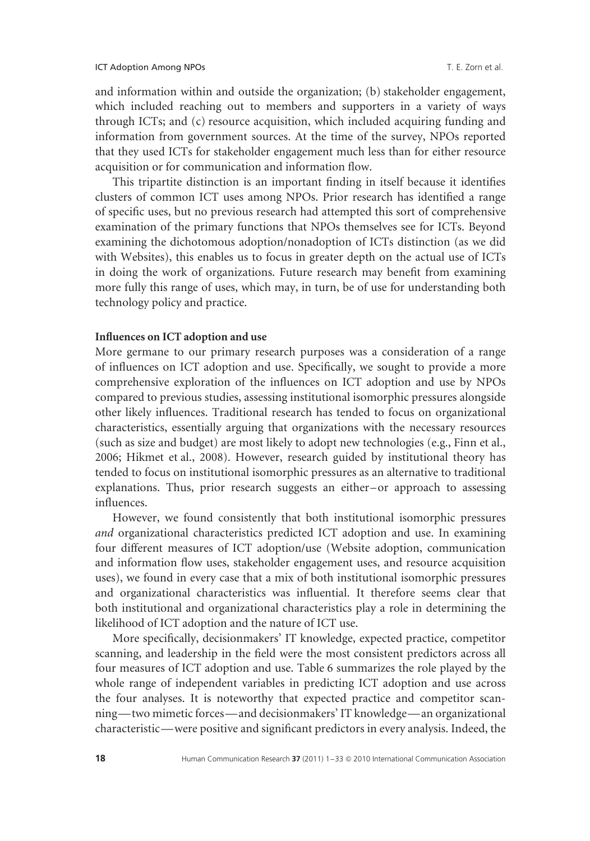and information within and outside the organization; (b) stakeholder engagement, which included reaching out to members and supporters in a variety of ways through ICTs; and (c) resource acquisition, which included acquiring funding and information from government sources. At the time of the survey, NPOs reported that they used ICTs for stakeholder engagement much less than for either resource acquisition or for communication and information flow.

This tripartite distinction is an important finding in itself because it identifies clusters of common ICT uses among NPOs. Prior research has identified a range of specific uses, but no previous research had attempted this sort of comprehensive examination of the primary functions that NPOs themselves see for ICTs. Beyond examining the dichotomous adoption/nonadoption of ICTs distinction (as we did with Websites), this enables us to focus in greater depth on the actual use of ICTs in doing the work of organizations. Future research may benefit from examining more fully this range of uses, which may, in turn, be of use for understanding both technology policy and practice.

#### **Influences on ICT adoption and use**

More germane to our primary research purposes was a consideration of a range of influences on ICT adoption and use. Specifically, we sought to provide a more comprehensive exploration of the influences on ICT adoption and use by NPOs compared to previous studies, assessing institutional isomorphic pressures alongside other likely influences. Traditional research has tended to focus on organizational characteristics, essentially arguing that organizations with the necessary resources (such as size and budget) are most likely to adopt new technologies (e.g., Finn et al., 2006; Hikmet et al., 2008). However, research guided by institutional theory has tended to focus on institutional isomorphic pressures as an alternative to traditional explanations. Thus, prior research suggests an either–or approach to assessing influences.

However, we found consistently that both institutional isomorphic pressures *and* organizational characteristics predicted ICT adoption and use. In examining four different measures of ICT adoption/use (Website adoption, communication and information flow uses, stakeholder engagement uses, and resource acquisition uses), we found in every case that a mix of both institutional isomorphic pressures and organizational characteristics was influential. It therefore seems clear that both institutional and organizational characteristics play a role in determining the likelihood of ICT adoption and the nature of ICT use.

More specifically, decisionmakers' IT knowledge, expected practice, competitor scanning, and leadership in the field were the most consistent predictors across all four measures of ICT adoption and use. Table 6 summarizes the role played by the whole range of independent variables in predicting ICT adoption and use across the four analyses. It is noteworthy that expected practice and competitor scanning— two mimetic forces—and decisionmakers' IT knowledge—an organizational characteristic—were positive and significant predictors in every analysis. Indeed, the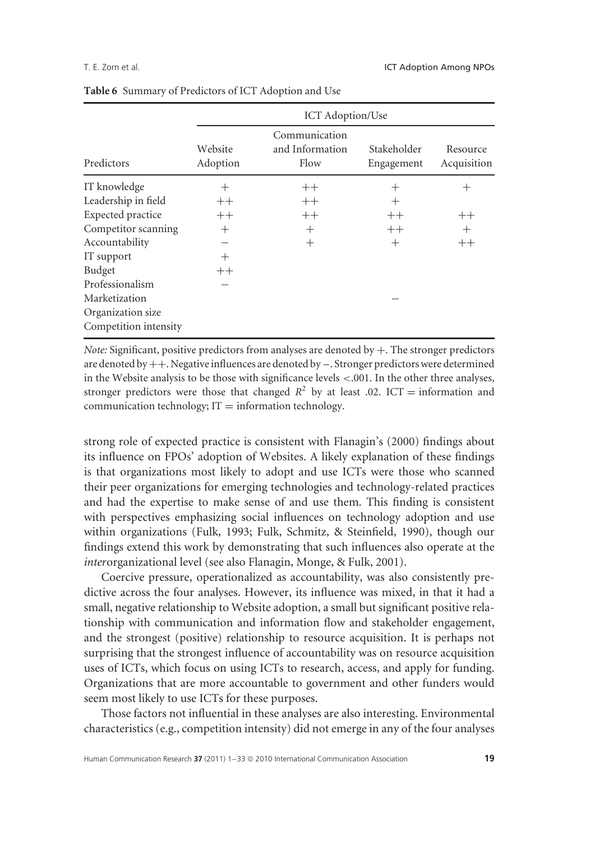|                       |                     | ICT Adoption/Use                         |                           |                         |
|-----------------------|---------------------|------------------------------------------|---------------------------|-------------------------|
| Predictors            | Website<br>Adoption | Communication<br>and Information<br>Flow | Stakeholder<br>Engagement | Resource<br>Acquisition |
| IT knowledge          | $^+$                | $++$                                     | $\hspace{0.1mm} +$        | $\pm$                   |
| Leadership in field   | $++$                | $++$                                     | $^{+}$                    |                         |
| Expected practice     | $++$                | $++$                                     | $++$                      | $++$                    |
| Competitor scanning   | $^{+}$              | $^{+}$                                   | $++$                      | $^{+}$                  |
| Accountability        |                     | $^{+}$                                   | $^{+}$                    | $++$                    |
| IT support            | $^+$                |                                          |                           |                         |
| Budget                | $++$                |                                          |                           |                         |
| Professionalism       |                     |                                          |                           |                         |
| Marketization         |                     |                                          |                           |                         |
| Organization size     |                     |                                          |                           |                         |
| Competition intensity |                     |                                          |                           |                         |

| <b>Table 6</b> Summary of Predictors of ICT Adoption and Use |
|--------------------------------------------------------------|
|--------------------------------------------------------------|

*Note:* Significant, positive predictors from analyses are denoted by  $+$ . The stronger predictors are denoted by  $++$ . Negative influences are denoted by  $-$ . Stronger predictors were determined in the Website analysis to be those with significance levels *<*.001. In the other three analyses, stronger predictors were those that changed  $R^2$  by at least .02. ICT = information and communication technology;  $IT = information$  technology.

strong role of expected practice is consistent with Flanagin's (2000) findings about its influence on FPOs' adoption of Websites. A likely explanation of these findings is that organizations most likely to adopt and use ICTs were those who scanned their peer organizations for emerging technologies and technology-related practices and had the expertise to make sense of and use them. This finding is consistent with perspectives emphasizing social influences on technology adoption and use within organizations (Fulk, 1993; Fulk, Schmitz, & Steinfield, 1990), though our findings extend this work by demonstrating that such influences also operate at the *inter*organizational level (see also Flanagin, Monge, & Fulk, 2001).

Coercive pressure, operationalized as accountability, was also consistently predictive across the four analyses. However, its influence was mixed, in that it had a small, negative relationship to Website adoption, a small but significant positive relationship with communication and information flow and stakeholder engagement, and the strongest (positive) relationship to resource acquisition. It is perhaps not surprising that the strongest influence of accountability was on resource acquisition uses of ICTs, which focus on using ICTs to research, access, and apply for funding. Organizations that are more accountable to government and other funders would seem most likely to use ICTs for these purposes.

Those factors not influential in these analyses are also interesting. Environmental characteristics (e.g., competition intensity) did not emerge in any of the four analyses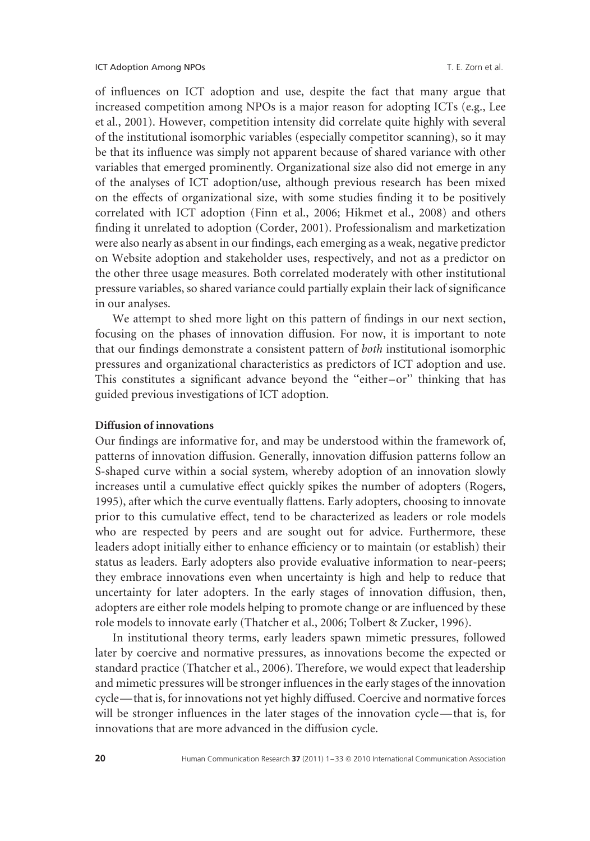of influences on ICT adoption and use, despite the fact that many argue that increased competition among NPOs is a major reason for adopting ICTs (e.g., Lee et al., 2001). However, competition intensity did correlate quite highly with several of the institutional isomorphic variables (especially competitor scanning), so it may be that its influence was simply not apparent because of shared variance with other variables that emerged prominently. Organizational size also did not emerge in any of the analyses of ICT adoption/use, although previous research has been mixed on the effects of organizational size, with some studies finding it to be positively correlated with ICT adoption (Finn et al., 2006; Hikmet et al., 2008) and others finding it unrelated to adoption (Corder, 2001). Professionalism and marketization were also nearly as absent in our findings, each emerging as a weak, negative predictor on Website adoption and stakeholder uses, respectively, and not as a predictor on the other three usage measures. Both correlated moderately with other institutional pressure variables, so shared variance could partially explain their lack of significance in our analyses.

We attempt to shed more light on this pattern of findings in our next section, focusing on the phases of innovation diffusion. For now, it is important to note that our findings demonstrate a consistent pattern of *both* institutional isomorphic pressures and organizational characteristics as predictors of ICT adoption and use. This constitutes a significant advance beyond the ''either–or'' thinking that has guided previous investigations of ICT adoption.

#### **Diffusion of innovations**

Our findings are informative for, and may be understood within the framework of, patterns of innovation diffusion. Generally, innovation diffusion patterns follow an S-shaped curve within a social system, whereby adoption of an innovation slowly increases until a cumulative effect quickly spikes the number of adopters (Rogers, 1995), after which the curve eventually flattens. Early adopters, choosing to innovate prior to this cumulative effect, tend to be characterized as leaders or role models who are respected by peers and are sought out for advice. Furthermore, these leaders adopt initially either to enhance efficiency or to maintain (or establish) their status as leaders. Early adopters also provide evaluative information to near-peers; they embrace innovations even when uncertainty is high and help to reduce that uncertainty for later adopters. In the early stages of innovation diffusion, then, adopters are either role models helping to promote change or are influenced by these role models to innovate early (Thatcher et al., 2006; Tolbert & Zucker, 1996).

In institutional theory terms, early leaders spawn mimetic pressures, followed later by coercive and normative pressures, as innovations become the expected or standard practice (Thatcher et al., 2006). Therefore, we would expect that leadership and mimetic pressures will be stronger influences in the early stages of the innovation cycle— that is, for innovations not yet highly diffused. Coercive and normative forces will be stronger influences in the later stages of the innovation cycle— that is, for innovations that are more advanced in the diffusion cycle.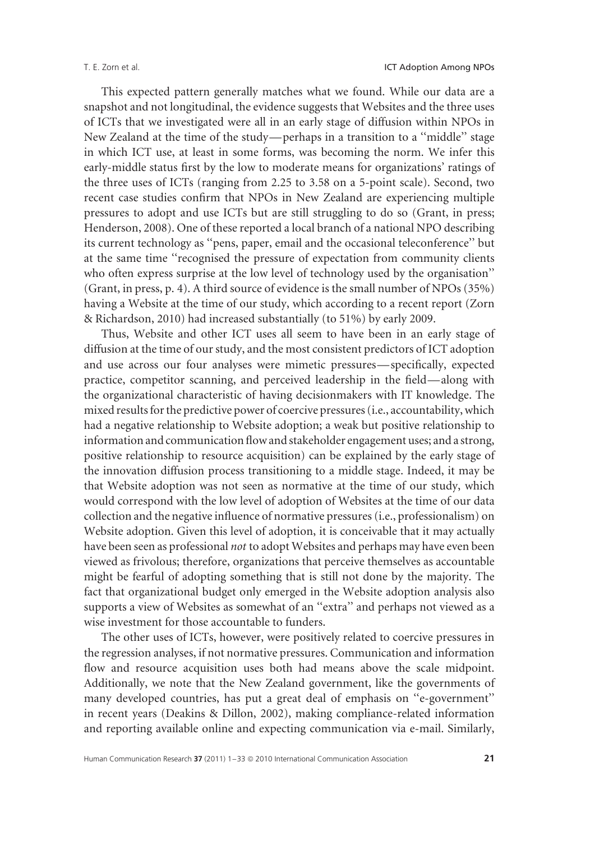This expected pattern generally matches what we found. While our data are a snapshot and not longitudinal, the evidence suggests that Websites and the three uses of ICTs that we investigated were all in an early stage of diffusion within NPOs in New Zealand at the time of the study—perhaps in a transition to a ''middle'' stage in which ICT use, at least in some forms, was becoming the norm. We infer this early-middle status first by the low to moderate means for organizations' ratings of the three uses of ICTs (ranging from 2.25 to 3.58 on a 5-point scale). Second, two recent case studies confirm that NPOs in New Zealand are experiencing multiple pressures to adopt and use ICTs but are still struggling to do so (Grant, in press; Henderson, 2008). One of these reported a local branch of a national NPO describing its current technology as ''pens, paper, email and the occasional teleconference'' but at the same time ''recognised the pressure of expectation from community clients who often express surprise at the low level of technology used by the organisation'' (Grant, in press, p. 4). A third source of evidence is the small number of NPOs (35%) having a Website at the time of our study, which according to a recent report (Zorn & Richardson, 2010) had increased substantially (to 51%) by early 2009.

Thus, Website and other ICT uses all seem to have been in an early stage of diffusion at the time of our study, and the most consistent predictors of ICT adoption and use across our four analyses were mimetic pressures— specifically, expected practice, competitor scanning, and perceived leadership in the field—along with the organizational characteristic of having decisionmakers with IT knowledge. The mixed results for the predictive power of coercive pressures (i.e., accountability, which had a negative relationship to Website adoption; a weak but positive relationship to information and communication flow and stakeholder engagement uses; and a strong, positive relationship to resource acquisition) can be explained by the early stage of the innovation diffusion process transitioning to a middle stage. Indeed, it may be that Website adoption was not seen as normative at the time of our study, which would correspond with the low level of adoption of Websites at the time of our data collection and the negative influence of normative pressures (i.e., professionalism) on Website adoption. Given this level of adoption, it is conceivable that it may actually have been seen as professional *not* to adopt Websites and perhaps may have even been viewed as frivolous; therefore, organizations that perceive themselves as accountable might be fearful of adopting something that is still not done by the majority. The fact that organizational budget only emerged in the Website adoption analysis also supports a view of Websites as somewhat of an ''extra'' and perhaps not viewed as a wise investment for those accountable to funders.

The other uses of ICTs, however, were positively related to coercive pressures in the regression analyses, if not normative pressures. Communication and information flow and resource acquisition uses both had means above the scale midpoint. Additionally, we note that the New Zealand government, like the governments of many developed countries, has put a great deal of emphasis on ''e-government'' in recent years (Deakins & Dillon, 2002), making compliance-related information and reporting available online and expecting communication via e-mail. Similarly,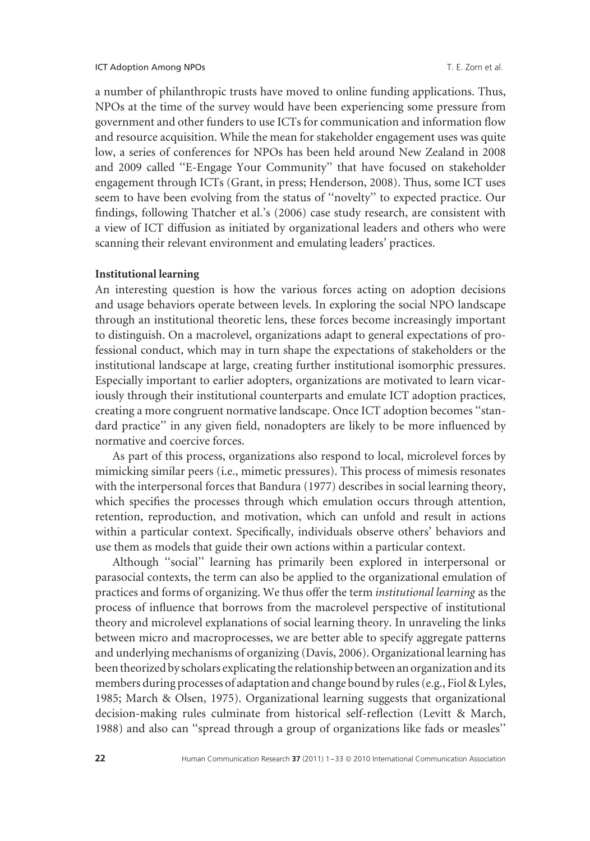#### ICT Adoption Among NPOs **T. E.** Zorn et al.

a number of philanthropic trusts have moved to online funding applications. Thus, NPOs at the time of the survey would have been experiencing some pressure from government and other funders to use ICTs for communication and information flow and resource acquisition. While the mean for stakeholder engagement uses was quite low, a series of conferences for NPOs has been held around New Zealand in 2008 and 2009 called ''E-Engage Your Community'' that have focused on stakeholder engagement through ICTs (Grant, in press; Henderson, 2008). Thus, some ICT uses seem to have been evolving from the status of ''novelty'' to expected practice. Our findings, following Thatcher et al.'s (2006) case study research, are consistent with a view of ICT diffusion as initiated by organizational leaders and others who were scanning their relevant environment and emulating leaders' practices.

#### **Institutional learning**

An interesting question is how the various forces acting on adoption decisions and usage behaviors operate between levels. In exploring the social NPO landscape through an institutional theoretic lens, these forces become increasingly important to distinguish. On a macrolevel, organizations adapt to general expectations of professional conduct, which may in turn shape the expectations of stakeholders or the institutional landscape at large, creating further institutional isomorphic pressures. Especially important to earlier adopters, organizations are motivated to learn vicariously through their institutional counterparts and emulate ICT adoption practices, creating a more congruent normative landscape. Once ICT adoption becomes ''standard practice'' in any given field, nonadopters are likely to be more influenced by normative and coercive forces.

As part of this process, organizations also respond to local, microlevel forces by mimicking similar peers (i.e., mimetic pressures). This process of mimesis resonates with the interpersonal forces that Bandura (1977) describes in social learning theory, which specifies the processes through which emulation occurs through attention, retention, reproduction, and motivation, which can unfold and result in actions within a particular context. Specifically, individuals observe others' behaviors and use them as models that guide their own actions within a particular context.

Although ''social'' learning has primarily been explored in interpersonal or parasocial contexts, the term can also be applied to the organizational emulation of practices and forms of organizing. We thus offer the term *institutional learning* as the process of influence that borrows from the macrolevel perspective of institutional theory and microlevel explanations of social learning theory. In unraveling the links between micro and macroprocesses, we are better able to specify aggregate patterns and underlying mechanisms of organizing (Davis, 2006). Organizational learning has been theorized by scholars explicating the relationship between an organization and its members during processes of adaptation and change bound by rules (e.g., Fiol & Lyles, 1985; March & Olsen, 1975). Organizational learning suggests that organizational decision-making rules culminate from historical self-reflection (Levitt & March, 1988) and also can ''spread through a group of organizations like fads or measles''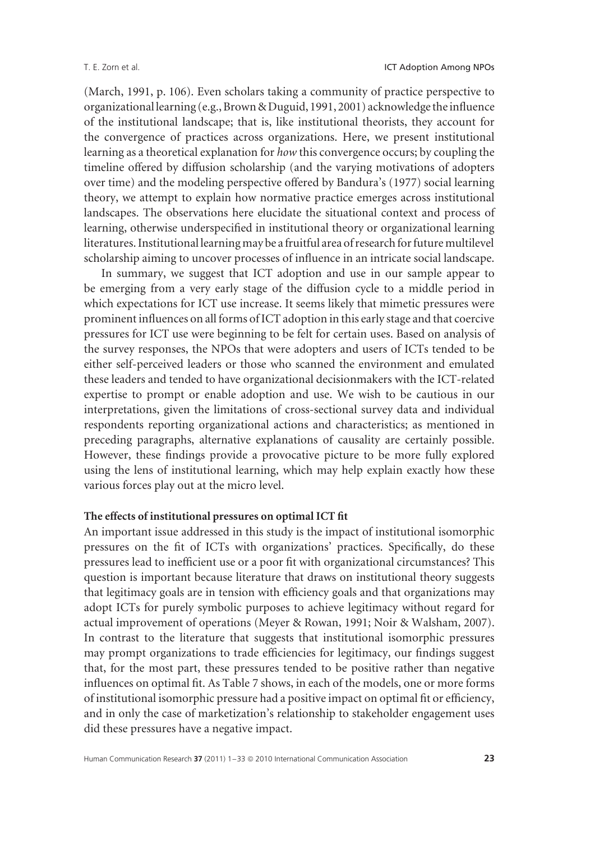(March, 1991, p. 106). Even scholars taking a community of practice perspective to organizational learning (e.g., Brown & Duguid, 1991, 2001) acknowledge the influence of the institutional landscape; that is, like institutional theorists, they account for the convergence of practices across organizations. Here, we present institutional learning as a theoretical explanation for *how* this convergence occurs; by coupling the timeline offered by diffusion scholarship (and the varying motivations of adopters over time) and the modeling perspective offered by Bandura's (1977) social learning theory, we attempt to explain how normative practice emerges across institutional landscapes. The observations here elucidate the situational context and process of learning, otherwise underspecified in institutional theory or organizational learning literatures. Institutional learning may be a fruitful area of research for future multilevel scholarship aiming to uncover processes of influence in an intricate social landscape.

In summary, we suggest that ICT adoption and use in our sample appear to be emerging from a very early stage of the diffusion cycle to a middle period in which expectations for ICT use increase. It seems likely that mimetic pressures were prominent influences on all forms of ICT adoption in this early stage and that coercive pressures for ICT use were beginning to be felt for certain uses. Based on analysis of the survey responses, the NPOs that were adopters and users of ICTs tended to be either self-perceived leaders or those who scanned the environment and emulated these leaders and tended to have organizational decisionmakers with the ICT-related expertise to prompt or enable adoption and use. We wish to be cautious in our interpretations, given the limitations of cross-sectional survey data and individual respondents reporting organizational actions and characteristics; as mentioned in preceding paragraphs, alternative explanations of causality are certainly possible. However, these findings provide a provocative picture to be more fully explored using the lens of institutional learning, which may help explain exactly how these various forces play out at the micro level.

#### **The effects of institutional pressures on optimal ICT fit**

An important issue addressed in this study is the impact of institutional isomorphic pressures on the fit of ICTs with organizations' practices. Specifically, do these pressures lead to inefficient use or a poor fit with organizational circumstances? This question is important because literature that draws on institutional theory suggests that legitimacy goals are in tension with efficiency goals and that organizations may adopt ICTs for purely symbolic purposes to achieve legitimacy without regard for actual improvement of operations (Meyer & Rowan, 1991; Noir & Walsham, 2007). In contrast to the literature that suggests that institutional isomorphic pressures may prompt organizations to trade efficiencies for legitimacy, our findings suggest that, for the most part, these pressures tended to be positive rather than negative influences on optimal fit. As Table 7 shows, in each of the models, one or more forms of institutional isomorphic pressure had a positive impact on optimal fit or efficiency, and in only the case of marketization's relationship to stakeholder engagement uses did these pressures have a negative impact.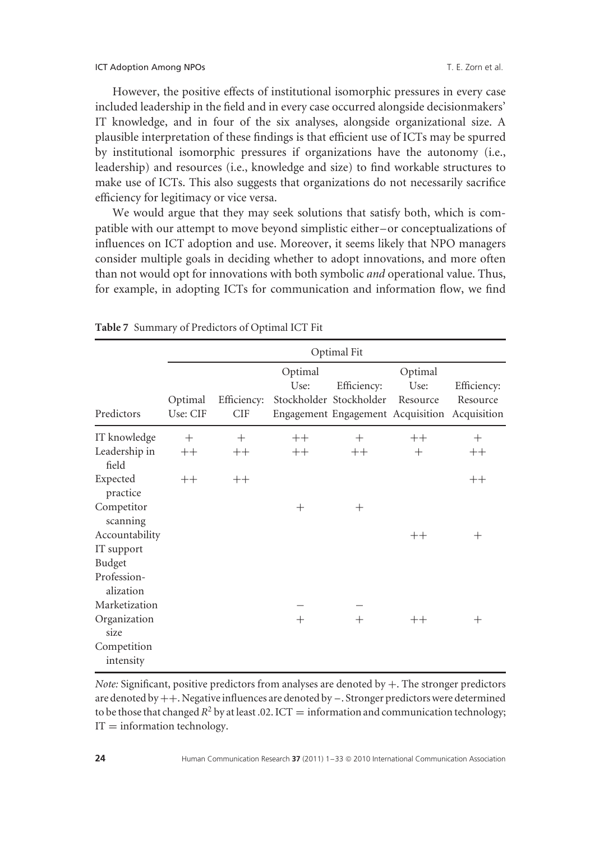However, the positive effects of institutional isomorphic pressures in every case included leadership in the field and in every case occurred alongside decisionmakers' IT knowledge, and in four of the six analyses, alongside organizational size. A plausible interpretation of these findings is that efficient use of ICTs may be spurred by institutional isomorphic pressures if organizations have the autonomy (i.e., leadership) and resources (i.e., knowledge and size) to find workable structures to make use of ICTs. This also suggests that organizations do not necessarily sacrifice efficiency for legitimacy or vice versa.

We would argue that they may seek solutions that satisfy both, which is compatible with our attempt to move beyond simplistic either–or conceptualizations of influences on ICT adoption and use. Moreover, it seems likely that NPO managers consider multiple goals in deciding whether to adopt innovations, and more often than not would opt for innovations with both symbolic *and* operational value. Thus, for example, in adopting ICTs for communication and information flow, we find

|                                        |                     |                           |                 | Optimal Fit                                                                             |                             |                         |
|----------------------------------------|---------------------|---------------------------|-----------------|-----------------------------------------------------------------------------------------|-----------------------------|-------------------------|
| Predictors                             | Optimal<br>Use: CIF | Efficiency:<br><b>CIF</b> | Optimal<br>Use: | Efficiency:<br>Stockholder Stockholder<br>Engagement Engagement Acquisition Acquisition | Optimal<br>Use:<br>Resource | Efficiency:<br>Resource |
| IT knowledge                           | $^{+}$              | $^{+}$                    | $++$            | $^{+}$                                                                                  | $++$                        | $\pm$                   |
| Leadership in<br>field                 | $++$                | $++$                      | $++$            | $++$                                                                                    | $^{+}$                      | $^{++}$                 |
| Expected<br>practice                   | $++$                | $++$                      |                 |                                                                                         |                             | $++$                    |
| Competitor<br>scanning                 |                     |                           | $^{+}$          | $^{+}$                                                                                  |                             |                         |
| Accountability<br>IT support<br>Budget |                     |                           |                 |                                                                                         | $++$                        | $\pm$                   |
| Profession-<br>alization               |                     |                           |                 |                                                                                         |                             |                         |
| Marketization                          |                     |                           |                 |                                                                                         |                             |                         |
| Organization<br>size                   |                     |                           | $^{+}$          | $^{+}$                                                                                  | $++$                        | $\pm$                   |
| Competition<br>intensity               |                     |                           |                 |                                                                                         |                             |                         |

**Table 7** Summary of Predictors of Optimal ICT Fit

*Note:* Significant, positive predictors from analyses are denoted by +. The stronger predictors are denoted by  $++$ . Negative influences are denoted by  $-$ . Stronger predictors were determined to be those that changed  $R^2$  by at least .02. ICT = information and communication technology;  $IT = information technology.$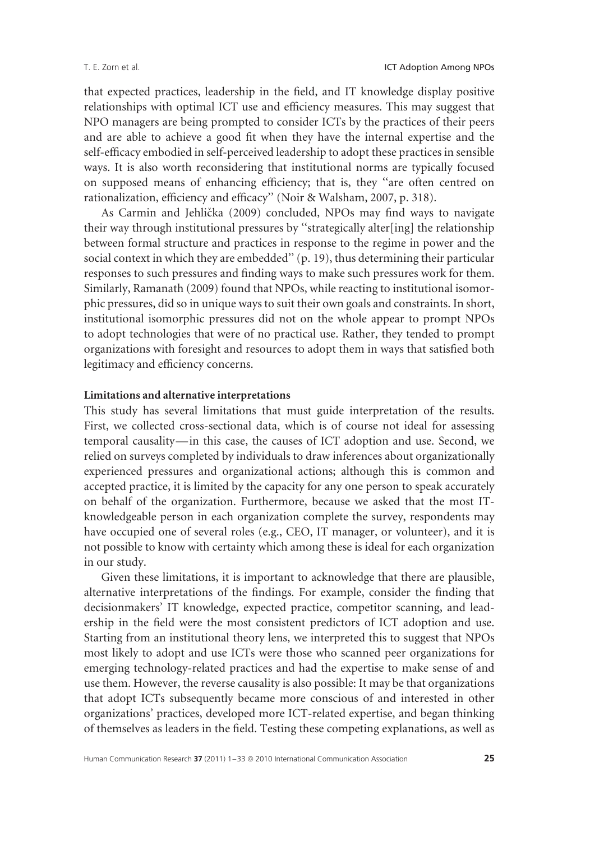that expected practices, leadership in the field, and IT knowledge display positive relationships with optimal ICT use and efficiency measures. This may suggest that NPO managers are being prompted to consider ICTs by the practices of their peers and are able to achieve a good fit when they have the internal expertise and the self-efficacy embodied in self-perceived leadership to adopt these practices in sensible ways. It is also worth reconsidering that institutional norms are typically focused on supposed means of enhancing efficiency; that is, they ''are often centred on rationalization, efficiency and efficacy'' (Noir & Walsham, 2007, p. 318).

As Carmin and Jehlička (2009) concluded, NPOs may find ways to navigate their way through institutional pressures by ''strategically alter[ing] the relationship between formal structure and practices in response to the regime in power and the social context in which they are embedded'' (p. 19), thus determining their particular responses to such pressures and finding ways to make such pressures work for them. Similarly, Ramanath (2009) found that NPOs, while reacting to institutional isomorphic pressures, did so in unique ways to suit their own goals and constraints. In short, institutional isomorphic pressures did not on the whole appear to prompt NPOs to adopt technologies that were of no practical use. Rather, they tended to prompt organizations with foresight and resources to adopt them in ways that satisfied both legitimacy and efficiency concerns.

#### **Limitations and alternative interpretations**

This study has several limitations that must guide interpretation of the results. First, we collected cross-sectional data, which is of course not ideal for assessing temporal causality—in this case, the causes of ICT adoption and use. Second, we relied on surveys completed by individuals to draw inferences about organizationally experienced pressures and organizational actions; although this is common and accepted practice, it is limited by the capacity for any one person to speak accurately on behalf of the organization. Furthermore, because we asked that the most ITknowledgeable person in each organization complete the survey, respondents may have occupied one of several roles (e.g., CEO, IT manager, or volunteer), and it is not possible to know with certainty which among these is ideal for each organization in our study.

Given these limitations, it is important to acknowledge that there are plausible, alternative interpretations of the findings. For example, consider the finding that decisionmakers' IT knowledge, expected practice, competitor scanning, and leadership in the field were the most consistent predictors of ICT adoption and use. Starting from an institutional theory lens, we interpreted this to suggest that NPOs most likely to adopt and use ICTs were those who scanned peer organizations for emerging technology-related practices and had the expertise to make sense of and use them. However, the reverse causality is also possible: It may be that organizations that adopt ICTs subsequently became more conscious of and interested in other organizations' practices, developed more ICT-related expertise, and began thinking of themselves as leaders in the field. Testing these competing explanations, as well as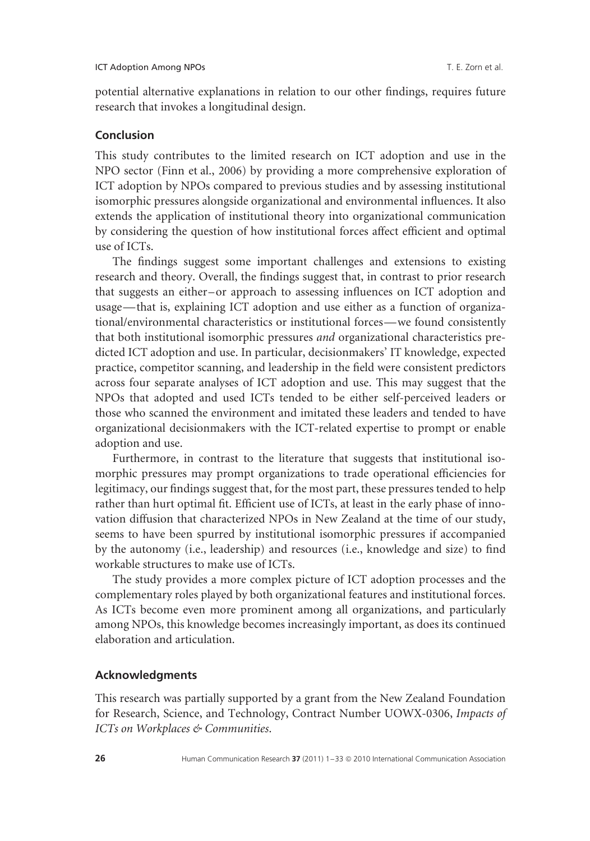potential alternative explanations in relation to our other findings, requires future research that invokes a longitudinal design.

# **Conclusion**

This study contributes to the limited research on ICT adoption and use in the NPO sector (Finn et al., 2006) by providing a more comprehensive exploration of ICT adoption by NPOs compared to previous studies and by assessing institutional isomorphic pressures alongside organizational and environmental influences. It also extends the application of institutional theory into organizational communication by considering the question of how institutional forces affect efficient and optimal use of ICTs.

The findings suggest some important challenges and extensions to existing research and theory. Overall, the findings suggest that, in contrast to prior research that suggests an either–or approach to assessing influences on ICT adoption and usage— that is, explaining ICT adoption and use either as a function of organizational/environmental characteristics or institutional forces—we found consistently that both institutional isomorphic pressures *and* organizational characteristics predicted ICT adoption and use. In particular, decisionmakers' IT knowledge, expected practice, competitor scanning, and leadership in the field were consistent predictors across four separate analyses of ICT adoption and use. This may suggest that the NPOs that adopted and used ICTs tended to be either self-perceived leaders or those who scanned the environment and imitated these leaders and tended to have organizational decisionmakers with the ICT-related expertise to prompt or enable adoption and use.

Furthermore, in contrast to the literature that suggests that institutional isomorphic pressures may prompt organizations to trade operational efficiencies for legitimacy, our findings suggest that, for the most part, these pressures tended to help rather than hurt optimal fit. Efficient use of ICTs, at least in the early phase of innovation diffusion that characterized NPOs in New Zealand at the time of our study, seems to have been spurred by institutional isomorphic pressures if accompanied by the autonomy (i.e., leadership) and resources (i.e., knowledge and size) to find workable structures to make use of ICTs.

The study provides a more complex picture of ICT adoption processes and the complementary roles played by both organizational features and institutional forces. As ICTs become even more prominent among all organizations, and particularly among NPOs, this knowledge becomes increasingly important, as does its continued elaboration and articulation.

#### **Acknowledgments**

This research was partially supported by a grant from the New Zealand Foundation for Research, Science, and Technology, Contract Number UOWX-0306, *Impacts of ICTs on Workplaces & Communities*.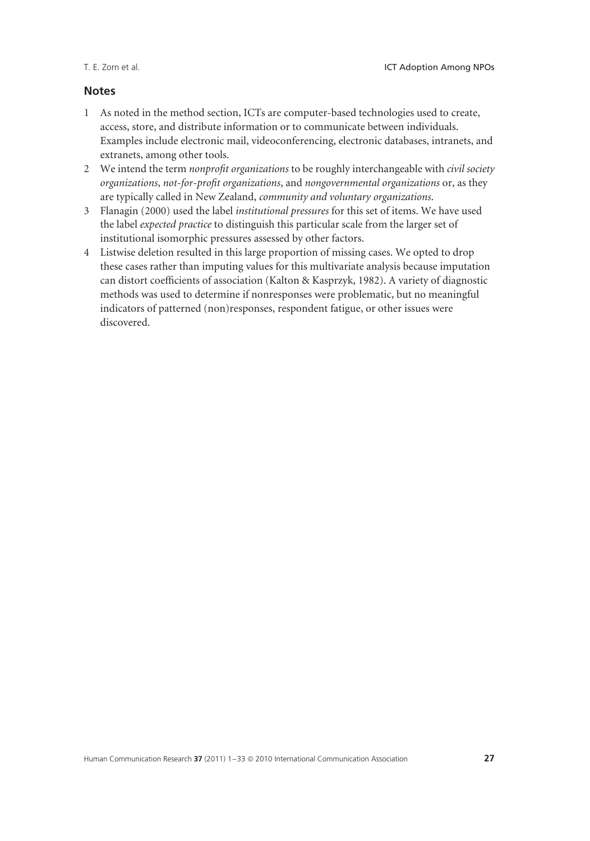#### **Notes**

- 1 As noted in the method section, ICTs are computer-based technologies used to create, access, store, and distribute information or to communicate between individuals. Examples include electronic mail, videoconferencing, electronic databases, intranets, and extranets, among other tools.
- 2 We intend the term *nonprofit organizations* to be roughly interchangeable with *civil society organizations*, *not-for-profit organizations*, and *nongovernmental organizations* or, as they are typically called in New Zealand, *community and voluntary organizations*.
- 3 Flanagin (2000) used the label *institutional pressures* for this set of items. We have used the label *expected practice* to distinguish this particular scale from the larger set of institutional isomorphic pressures assessed by other factors.
- 4 Listwise deletion resulted in this large proportion of missing cases. We opted to drop these cases rather than imputing values for this multivariate analysis because imputation can distort coefficients of association (Kalton & Kasprzyk, 1982). A variety of diagnostic methods was used to determine if nonresponses were problematic, but no meaningful indicators of patterned (non)responses, respondent fatigue, or other issues were discovered.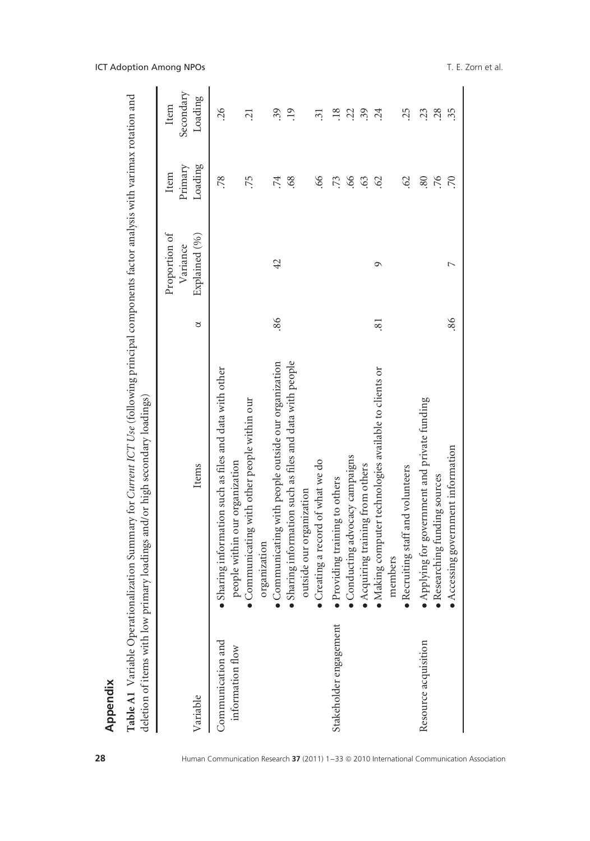| Appendix                              |                                                                                                                                                                                                                           |                |                                            |                             |                                         |
|---------------------------------------|---------------------------------------------------------------------------------------------------------------------------------------------------------------------------------------------------------------------------|----------------|--------------------------------------------|-----------------------------|-----------------------------------------|
|                                       | Table A1 Variable Operationalization Summary for Current ICT Use (following principal components factor analysis with varimax rotation and<br>deletion of items with low primary loadings and/or high secondary loadings) |                |                                            |                             |                                         |
| Variable                              | Items                                                                                                                                                                                                                     | ರ              | Proportion of<br>Explained (%)<br>Variance | Loading<br>Primary<br>Item  | Secondary<br>Loading<br>Item            |
| Communication and<br>information flow | Sharing information such as files and data with other<br>• Communicating with other people within our<br>people within our organization<br>organization<br>$\bullet$                                                      |                |                                            | .75<br>.78                  | .26<br>$\overline{c}$                   |
|                                       | Sharing information such as files and data with people<br>• Communicating with people outside our organization<br>• Creating a record of what we do<br>outside our organization<br>$\bullet$                              | 86             | 42                                         | .74<br>99.<br>.68           | 39<br>$\overline{.}$<br>$\overline{31}$ |
| Stakeholder engagement                | · Making computer technologies available to clients or<br>· Conducting advocacy campaigns<br>• Acquiring training from others<br>• Providing training to others<br>members                                                | $\overline{8}$ | ٩                                          | .66<br>.73<br>63<br>.62     | $\frac{18}{1}$<br>22<br>39<br>24        |
| Resource acquisition                  | • Applying for government and private funding<br>• Accessing government information<br>· Recruiting staff and volunteers<br>• Researching funding sources                                                                 | .86            | L                                          | <b>S</b><br>.76<br>80<br>70 | .25<br>.23<br>.28<br>35                 |

#### ICT Adoption Among NPOs **T. E.** Zorn et al.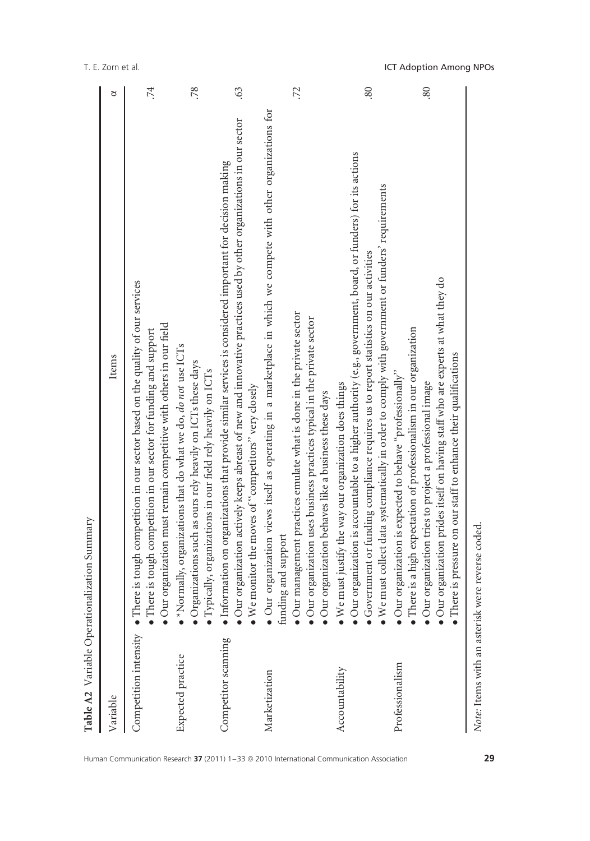| Variable              | Items                                                                                                                                                                                                                                                                                                                                                                               | ಶ               |
|-----------------------|-------------------------------------------------------------------------------------------------------------------------------------------------------------------------------------------------------------------------------------------------------------------------------------------------------------------------------------------------------------------------------------|-----------------|
| Competition intensity | · There is tough competition in our sector based on the quality of our services<br>Our organization must remain competitive with others in our field<br>There is tough competition in our sector for funding and support                                                                                                                                                            | .74             |
| Expected practice     | *Normally, organizations that do what we do, do not use ICTs<br>Organizations such as ours rely heavily on ICTs these days<br>Typically, organizations in our field rely heavily on ICTs                                                                                                                                                                                            | .78             |
| Competitor scanning   | . Our organization actively keeps abreast of new and innovative practices used by other organizations in our sector<br>• Information on organizations that provide similar services is considered important for decision making<br>We monitor the moves of "competitors" very closely                                                                                               | 63              |
| Marketization         | organization views itself as operating in a marketplace in which we compete with other organizations for<br>· Our management practices emulate what is done in the private sector<br>g and support<br>$\bullet$ Our<br>fundin                                                                                                                                                       | .72             |
|                       | Our organization uses business practices typical in the private sector<br>Our organization behaves like a business these days                                                                                                                                                                                                                                                       |                 |
| Accountability        | . Our organization is accountable to a higher authority (e.g., government, board, or funders) for its actions<br>$\bullet$ We must collect data systematically in order to comply with government or funders' requirements<br>Government or funding compliance requires us to report statistics on our activities<br>$\bullet$ We must justify the way our organization does things | 80              |
| Professionalism       | Our organization prides itself on having staff who are experts at what they do<br>· There is a high expectation of professionalism in our organization<br>re is pressure on our staff to enhance their qualifications<br>Our organization is expected to behave "professionally"<br>Our organization tries to project a professional image<br>Ther                                  | $\overline{80}$ |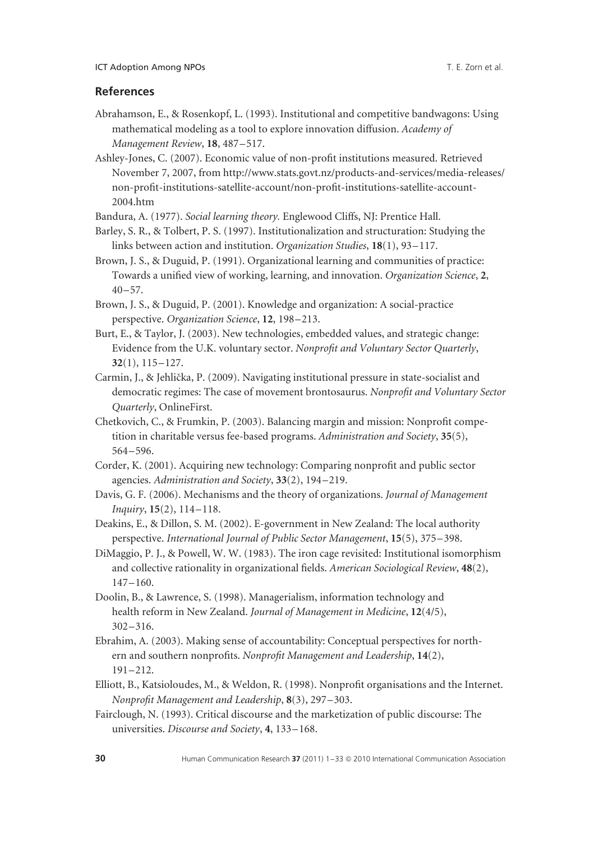### **References**

- Abrahamson, E., & Rosenkopf, L. (1993). Institutional and competitive bandwagons: Using mathematical modeling as a tool to explore innovation diffusion. *Academy of Management Review*, **18**, 487–517.
- Ashley-Jones, C. (2007). Economic value of non-profit institutions measured. Retrieved November 7, 2007, from http://www.stats.govt.nz/products-and-services/media-releases/ non-profit-institutions-satellite-account/non-profit-institutions-satellite-account-2004.htm
- Bandura, A. (1977). *Social learning theory.* Englewood Cliffs, NJ: Prentice Hall.
- Barley, S. R., & Tolbert, P. S. (1997). Institutionalization and structuration: Studying the links between action and institution. *Organization Studies*, **18**(1), 93–117.
- Brown, J. S., & Duguid, P. (1991). Organizational learning and communities of practice: Towards a unified view of working, learning, and innovation. *Organization Science*, **2**,  $40 - 57.$
- Brown, J. S., & Duguid, P. (2001). Knowledge and organization: A social-practice perspective. *Organization Science*, **12**, 198–213.
- Burt, E., & Taylor, J. (2003). New technologies, embedded values, and strategic change: Evidence from the U.K. voluntary sector. *Nonprofit and Voluntary Sector Quarterly*, **32**(1), 115–127.
- Carmin, J., & Jehlička, P. (2009). Navigating institutional pressure in state-socialist and democratic regimes: The case of movement brontosaurus. *Nonprofit and Voluntary Sector Quarterly*, OnlineFirst.
- Chetkovich, C., & Frumkin, P. (2003). Balancing margin and mission: Nonprofit competition in charitable versus fee-based programs. *Administration and Society*, **35**(5), 564–596.
- Corder, K. (2001). Acquiring new technology: Comparing nonprofit and public sector agencies. *Administration and Society*, **33**(2), 194–219.
- Davis, G. F. (2006). Mechanisms and the theory of organizations. *Journal of Management Inquiry*, **15**(2), 114–118.
- Deakins, E., & Dillon, S. M. (2002). E-government in New Zealand: The local authority perspective. *International Journal of Public Sector Management*, **15**(5), 375–398.
- DiMaggio, P. J., & Powell, W. W. (1983). The iron cage revisited: Institutional isomorphism and collective rationality in organizational fields. *American Sociological Review*, **48**(2), 147–160.
- Doolin, B., & Lawrence, S. (1998). Managerialism, information technology and health reform in New Zealand. *Journal of Management in Medicine*, **12**(4/5), 302–316.
- Ebrahim, A. (2003). Making sense of accountability: Conceptual perspectives for northern and southern nonprofits. *Nonprofit Management and Leadership*, **14**(2), 191–212.
- Elliott, B., Katsioloudes, M., & Weldon, R. (1998). Nonprofit organisations and the Internet. *Nonprofit Management and Leadership*, **8**(3), 297–303.
- Fairclough, N. (1993). Critical discourse and the marketization of public discourse: The universities. *Discourse and Society*, **4**, 133–168.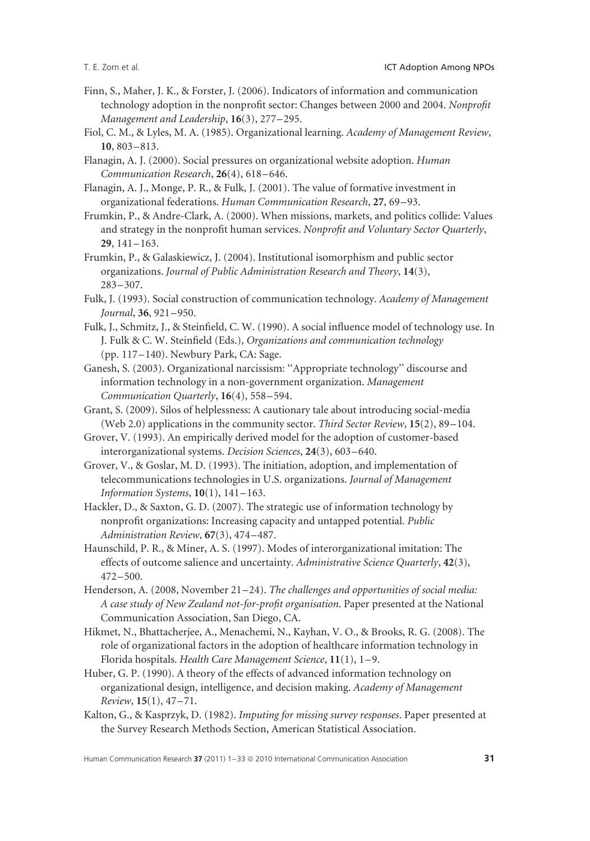- Finn, S., Maher, J. K., & Forster, J. (2006). Indicators of information and communication technology adoption in the nonprofit sector: Changes between 2000 and 2004. *Nonprofit Management and Leadership*, **16**(3), 277–295.
- Fiol, C. M., & Lyles, M. A. (1985). Organizational learning. *Academy of Management Review*, **10**, 803–813.
- Flanagin, A. J. (2000). Social pressures on organizational website adoption. *Human Communication Research*, **26**(4), 618–646.
- Flanagin, A. J., Monge, P. R., & Fulk, J. (2001). The value of formative investment in organizational federations. *Human Communication Research*, **27**, 69–93.
- Frumkin, P., & Andre-Clark, A. (2000). When missions, markets, and politics collide: Values and strategy in the nonprofit human services. *Nonprofit and Voluntary Sector Quarterly*, **29**, 141–163.
- Frumkin, P., & Galaskiewicz, J. (2004). Institutional isomorphism and public sector organizations. *Journal of Public Administration Research and Theory*, **14**(3), 283–307.
- Fulk, J. (1993). Social construction of communication technology. *Academy of Management Journal*, **36**, 921–950.
- Fulk, J., Schmitz, J., & Steinfield, C. W. (1990). A social influence model of technology use. In J. Fulk & C. W. Steinfield (Eds.), *Organizations and communication technology* (pp. 117–140). Newbury Park, CA: Sage.
- Ganesh, S. (2003). Organizational narcissism: ''Appropriate technology'' discourse and information technology in a non-government organization. *Management Communication Quarterly*, **16**(4), 558–594.
- Grant, S. (2009). Silos of helplessness: A cautionary tale about introducing social-media (Web 2.0) applications in the community sector. *Third Sector Review*, **15**(2), 89–104.
- Grover, V. (1993). An empirically derived model for the adoption of customer-based interorganizational systems. *Decision Sciences*, **24**(3), 603–640.
- Grover, V., & Goslar, M. D. (1993). The initiation, adoption, and implementation of telecommunications technologies in U.S. organizations. *Journal of Management Information Systems*, **10**(1), 141–163.
- Hackler, D., & Saxton, G. D. (2007). The strategic use of information technology by nonprofit organizations: Increasing capacity and untapped potential. *Public Administration Review*, **67**(3), 474–487.
- Haunschild, P. R., & Miner, A. S. (1997). Modes of interorganizational imitation: The effects of outcome salience and uncertainty. *Administrative Science Quarterly*, **42**(3), 472–500.
- Henderson, A. (2008, November 21–24). *The challenges and opportunities of social media: A case study of New Zealand not-for-profit organisation*. Paper presented at the National Communication Association, San Diego, CA.
- Hikmet, N., Bhattacherjee, A., Menachemi, N., Kayhan, V. O., & Brooks, R. G. (2008). The role of organizational factors in the adoption of healthcare information technology in Florida hospitals. *Health Care Management Science*, **11**(1), 1–9.
- Huber, G. P. (1990). A theory of the effects of advanced information technology on organizational design, intelligence, and decision making. *Academy of Management Review*, **15**(1), 47–71.
- Kalton, G., & Kasprzyk, D. (1982). *Imputing for missing survey responses*. Paper presented at the Survey Research Methods Section, American Statistical Association.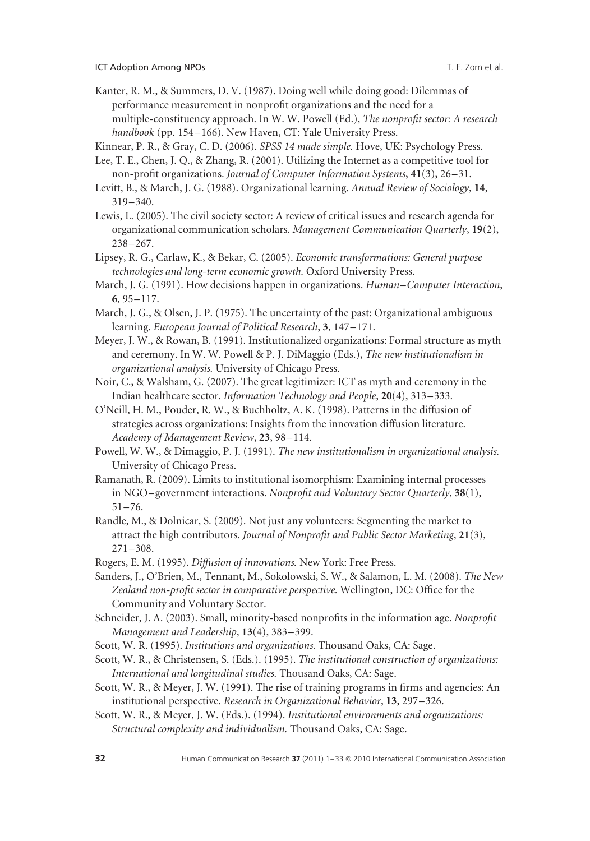Kanter, R. M., & Summers, D. V. (1987). Doing well while doing good: Dilemmas of performance measurement in nonprofit organizations and the need for a multiple-constituency approach. In W. W. Powell (Ed.), *The nonprofit sector: A research handbook* (pp. 154–166). New Haven, CT: Yale University Press.

Kinnear, P. R., & Gray, C. D. (2006). *SPSS 14 made simple.* Hove, UK: Psychology Press.

Lee, T. E., Chen, J. Q., & Zhang, R. (2001). Utilizing the Internet as a competitive tool for non-profit organizations. *Journal of Computer Information Systems*, **41**(3), 26–31.

Levitt, B., & March, J. G. (1988). Organizational learning. *Annual Review of Sociology*, **14**, 319–340.

Lewis, L. (2005). The civil society sector: A review of critical issues and research agenda for organizational communication scholars. *Management Communication Quarterly*, **19**(2), 238–267.

Lipsey, R. G., Carlaw, K., & Bekar, C. (2005). *Economic transformations: General purpose technologies and long-term economic growth.* Oxford University Press.

March, J. G. (1991). How decisions happen in organizations. *Human–Computer Interaction*, **6**, 95–117.

March, J. G., & Olsen, J. P. (1975). The uncertainty of the past: Organizational ambiguous learning. *European Journal of Political Research*, **3**, 147–171.

Meyer, J. W., & Rowan, B. (1991). Institutionalized organizations: Formal structure as myth and ceremony. In W. W. Powell & P. J. DiMaggio (Eds.), *The new institutionalism in organizational analysis.* University of Chicago Press.

Noir, C., & Walsham, G. (2007). The great legitimizer: ICT as myth and ceremony in the Indian healthcare sector. *Information Technology and People*, **20**(4), 313–333.

O'Neill, H. M., Pouder, R. W., & Buchholtz, A. K. (1998). Patterns in the diffusion of strategies across organizations: Insights from the innovation diffusion literature. *Academy of Management Review*, **23**, 98–114.

Powell, W. W., & Dimaggio, P. J. (1991). *The new institutionalism in organizational analysis.* University of Chicago Press.

Ramanath, R. (2009). Limits to institutional isomorphism: Examining internal processes in NGO–government interactions. *Nonprofit and Voluntary Sector Quarterly*, **38**(1), 51–76.

Randle, M., & Dolnicar, S. (2009). Not just any volunteers: Segmenting the market to attract the high contributors. *Journal of Nonprofit and Public Sector Marketing*, **21**(3), 271–308.

Rogers, E. M. (1995). *Diffusion of innovations.* New York: Free Press.

Sanders, J., O'Brien, M., Tennant, M., Sokolowski, S. W., & Salamon, L. M. (2008). *The New Zealand non-profit sector in comparative perspective.* Wellington, DC: Office for the Community and Voluntary Sector.

Schneider, J. A. (2003). Small, minority-based nonprofits in the information age. *Nonprofit Management and Leadership*, **13**(4), 383–399.

Scott, W. R. (1995). *Institutions and organizations.* Thousand Oaks, CA: Sage.

Scott, W. R., & Christensen, S. (Eds.). (1995). *The institutional construction of organizations: International and longitudinal studies.* Thousand Oaks, CA: Sage.

Scott, W. R., & Meyer, J. W. (1991). The rise of training programs in firms and agencies: An institutional perspective. *Research in Organizational Behavior*, **13**, 297–326.

Scott, W. R., & Meyer, J. W. (Eds.). (1994). *Institutional environments and organizations: Structural complexity and individualism.* Thousand Oaks, CA: Sage.